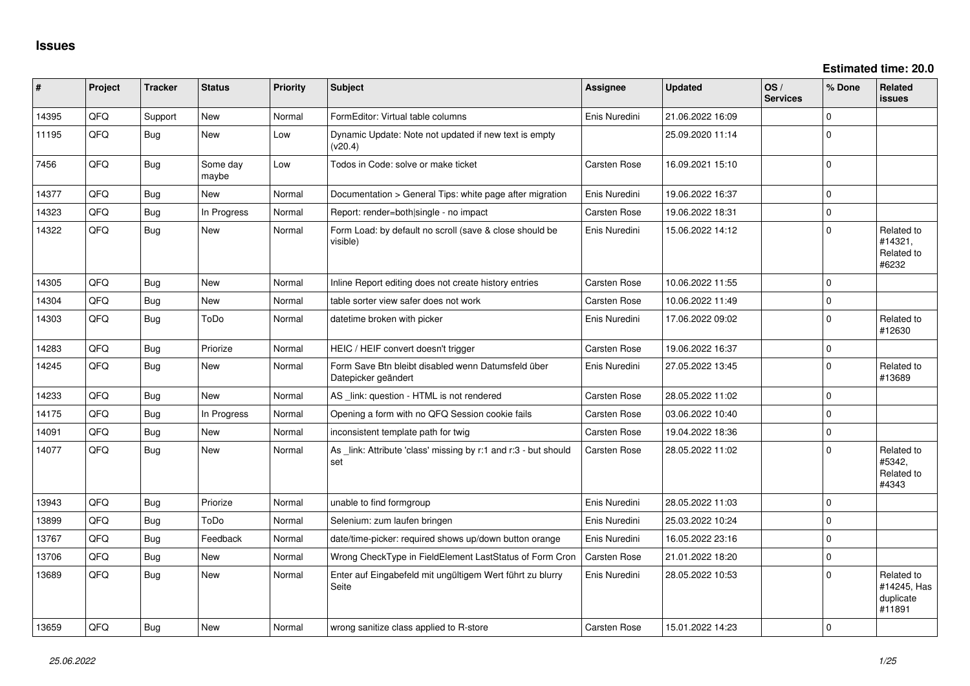| #     | Project    | <b>Tracker</b> | <b>Status</b>     | <b>Priority</b> | Subject                                                                   | <b>Assignee</b>     | <b>Updated</b>   | OS/<br><b>Services</b> | % Done         | Related<br><b>issues</b>                         |
|-------|------------|----------------|-------------------|-----------------|---------------------------------------------------------------------------|---------------------|------------------|------------------------|----------------|--------------------------------------------------|
| 14395 | QFQ        | Support        | <b>New</b>        | Normal          | FormEditor: Virtual table columns                                         | Enis Nuredini       | 21.06.2022 16:09 |                        | $\Omega$       |                                                  |
| 11195 | QFQ        | Bug            | New               | Low             | Dynamic Update: Note not updated if new text is empty<br>(v20.4)          |                     | 25.09.2020 11:14 |                        | $\Omega$       |                                                  |
| 7456  | QFQ        | Bug            | Some day<br>maybe | Low             | Todos in Code: solve or make ticket                                       | Carsten Rose        | 16.09.2021 15:10 |                        | $\mathbf 0$    |                                                  |
| 14377 | QFQ        | <b>Bug</b>     | <b>New</b>        | Normal          | Documentation > General Tips: white page after migration                  | Enis Nuredini       | 19.06.2022 16:37 |                        | $\Omega$       |                                                  |
| 14323 | QFQ        | <b>Bug</b>     | In Progress       | Normal          | Report: render=both single - no impact                                    | Carsten Rose        | 19.06.2022 18:31 |                        | 0              |                                                  |
| 14322 | QFQ        | Bug            | New               | Normal          | Form Load: by default no scroll (save & close should be<br>visible)       | Enis Nuredini       | 15.06.2022 14:12 |                        | $\Omega$       | Related to<br>#14321,<br>Related to<br>#6232     |
| 14305 | <b>OFO</b> | <b>Bug</b>     | <b>New</b>        | Normal          | Inline Report editing does not create history entries                     | Carsten Rose        | 10.06.2022 11:55 |                        | $\Omega$       |                                                  |
| 14304 | QFQ        | Bug            | <b>New</b>        | Normal          | table sorter view safer does not work                                     | Carsten Rose        | 10.06.2022 11:49 |                        | $\Omega$       |                                                  |
| 14303 | QFQ        | Bug            | ToDo              | Normal          | datetime broken with picker                                               | Enis Nuredini       | 17.06.2022 09:02 |                        | $\Omega$       | Related to<br>#12630                             |
| 14283 | QFQ        | Bug            | Priorize          | Normal          | HEIC / HEIF convert doesn't trigger                                       | Carsten Rose        | 19.06.2022 16:37 |                        | $\Omega$       |                                                  |
| 14245 | QFQ        | <b>Bug</b>     | <b>New</b>        | Normal          | Form Save Btn bleibt disabled wenn Datumsfeld über<br>Datepicker geändert | Enis Nuredini       | 27.05.2022 13:45 |                        | $\Omega$       | Related to<br>#13689                             |
| 14233 | QFQ        | Bug            | <b>New</b>        | Normal          | AS_link: question - HTML is not rendered                                  | Carsten Rose        | 28.05.2022 11:02 |                        | $\Omega$       |                                                  |
| 14175 | QFQ        | Bug            | In Progress       | Normal          | Opening a form with no QFQ Session cookie fails                           | Carsten Rose        | 03.06.2022 10:40 |                        | $\Omega$       |                                                  |
| 14091 | QFQ        | Bug            | <b>New</b>        | Normal          | inconsistent template path for twig                                       | <b>Carsten Rose</b> | 19.04.2022 18:36 |                        | $\Omega$       |                                                  |
| 14077 | QFQ        | Bug            | <b>New</b>        | Normal          | As _link: Attribute 'class' missing by r:1 and r:3 - but should<br>set    | Carsten Rose        | 28.05.2022 11:02 |                        | $\Omega$       | Related to<br>#5342.<br>Related to<br>#4343      |
| 13943 | QFQ        | Bug            | Priorize          | Normal          | unable to find formgroup                                                  | Enis Nuredini       | 28.05.2022 11:03 |                        | O              |                                                  |
| 13899 | QFQ        | <b>Bug</b>     | ToDo              | Normal          | Selenium: zum laufen bringen                                              | Enis Nuredini       | 25.03.2022 10:24 |                        | $\Omega$       |                                                  |
| 13767 | QFQ        | Bug            | Feedback          | Normal          | date/time-picker: required shows up/down button orange                    | Enis Nuredini       | 16.05.2022 23:16 |                        | $\Omega$       |                                                  |
| 13706 | QFQ        | Bug            | <b>New</b>        | Normal          | Wrong CheckType in FieldElement LastStatus of Form Cron                   | <b>Carsten Rose</b> | 21.01.2022 18:20 |                        | $\Omega$       |                                                  |
| 13689 | QFQ        | Bug            | <b>New</b>        | Normal          | Enter auf Eingabefeld mit ungültigem Wert führt zu blurry<br>Seite        | Enis Nuredini       | 28.05.2022 10:53 |                        | $\Omega$       | Related to<br>#14245, Has<br>duplicate<br>#11891 |
| 13659 | QFQ        | Bug            | New               | Normal          | wrong sanitize class applied to R-store                                   | Carsten Rose        | 15.01.2022 14:23 |                        | $\overline{0}$ |                                                  |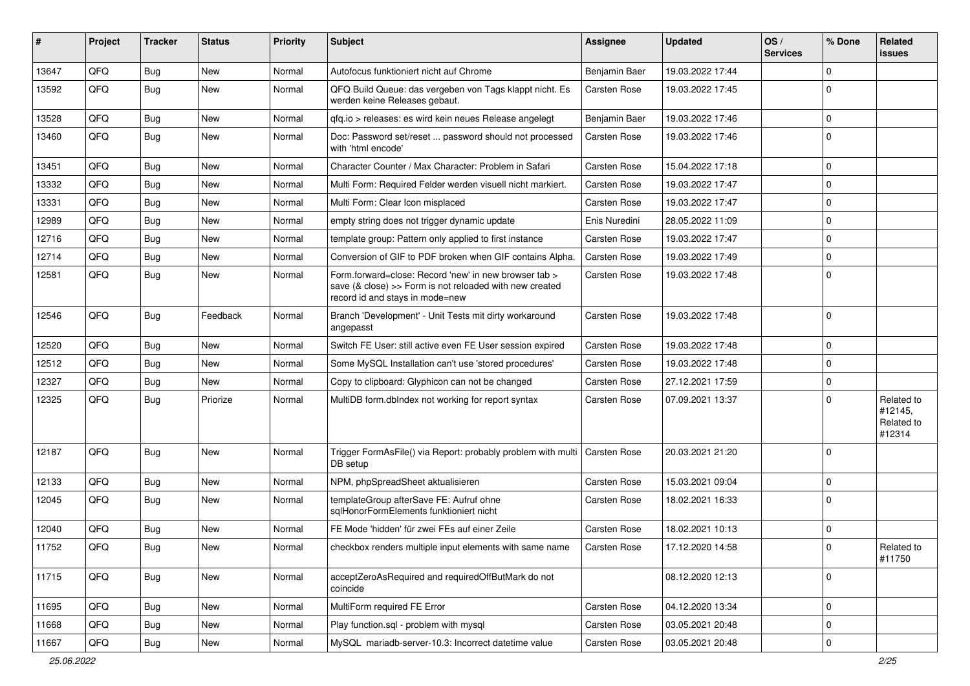| #     | Project | <b>Tracker</b> | <b>Status</b> | <b>Priority</b> | Subject                                                                                                                                             | <b>Assignee</b>     | <b>Updated</b>   | OS/<br><b>Services</b> | % Done      | Related<br>issues                             |
|-------|---------|----------------|---------------|-----------------|-----------------------------------------------------------------------------------------------------------------------------------------------------|---------------------|------------------|------------------------|-------------|-----------------------------------------------|
| 13647 | QFQ     | Bug            | <b>New</b>    | Normal          | Autofocus funktioniert nicht auf Chrome                                                                                                             | Benjamin Baer       | 19.03.2022 17:44 |                        | $\Omega$    |                                               |
| 13592 | QFQ     | Bug            | <b>New</b>    | Normal          | QFQ Build Queue: das vergeben von Tags klappt nicht. Es<br>werden keine Releases gebaut.                                                            | Carsten Rose        | 19.03.2022 17:45 |                        | $\Omega$    |                                               |
| 13528 | QFQ     | Bug            | <b>New</b>    | Normal          | qfq.io > releases: es wird kein neues Release angelegt                                                                                              | Benjamin Baer       | 19.03.2022 17:46 |                        | 0           |                                               |
| 13460 | QFQ     | Bug            | <b>New</b>    | Normal          | Doc: Password set/reset  password should not processed<br>with 'html encode'                                                                        | Carsten Rose        | 19.03.2022 17:46 |                        | $\Omega$    |                                               |
| 13451 | QFQ     | Bug            | <b>New</b>    | Normal          | Character Counter / Max Character: Problem in Safari                                                                                                | <b>Carsten Rose</b> | 15.04.2022 17:18 |                        | $\mathbf 0$ |                                               |
| 13332 | QFQ     | Bug            | <b>New</b>    | Normal          | Multi Form: Required Felder werden visuell nicht markiert.                                                                                          | <b>Carsten Rose</b> | 19.03.2022 17:47 |                        | $\Omega$    |                                               |
| 13331 | QFQ     | Bug            | <b>New</b>    | Normal          | Multi Form: Clear Icon misplaced                                                                                                                    | <b>Carsten Rose</b> | 19.03.2022 17:47 |                        | 0           |                                               |
| 12989 | QFQ     | Bug            | New           | Normal          | empty string does not trigger dynamic update                                                                                                        | Enis Nuredini       | 28.05.2022 11:09 |                        | $\Omega$    |                                               |
| 12716 | QFQ     | Bug            | New           | Normal          | template group: Pattern only applied to first instance                                                                                              | <b>Carsten Rose</b> | 19.03.2022 17:47 |                        | $\Omega$    |                                               |
| 12714 | QFQ     | Bug            | <b>New</b>    | Normal          | Conversion of GIF to PDF broken when GIF contains Alpha.                                                                                            | <b>Carsten Rose</b> | 19.03.2022 17:49 |                        | 0           |                                               |
| 12581 | QFQ     | Bug            | <b>New</b>    | Normal          | Form.forward=close: Record 'new' in new browser tab ><br>save (& close) >> Form is not reloaded with new created<br>record id and stays in mode=new | <b>Carsten Rose</b> | 19.03.2022 17:48 |                        | $\Omega$    |                                               |
| 12546 | QFQ     | Bug            | Feedback      | Normal          | Branch 'Development' - Unit Tests mit dirty workaround<br>angepasst                                                                                 | <b>Carsten Rose</b> | 19.03.2022 17:48 |                        | $\Omega$    |                                               |
| 12520 | QFQ     | Bug            | <b>New</b>    | Normal          | Switch FE User: still active even FE User session expired                                                                                           | <b>Carsten Rose</b> | 19.03.2022 17:48 |                        | $\Omega$    |                                               |
| 12512 | QFQ     | Bug            | <b>New</b>    | Normal          | Some MySQL Installation can't use 'stored procedures'                                                                                               | <b>Carsten Rose</b> | 19.03.2022 17:48 |                        | $\mathbf 0$ |                                               |
| 12327 | QFQ     | Bug            | <b>New</b>    | Normal          | Copy to clipboard: Glyphicon can not be changed                                                                                                     | <b>Carsten Rose</b> | 27.12.2021 17:59 |                        | $\Omega$    |                                               |
| 12325 | QFQ     | Bug            | Priorize      | Normal          | MultiDB form.dblndex not working for report syntax                                                                                                  | Carsten Rose        | 07.09.2021 13:37 |                        | $\Omega$    | Related to<br>#12145,<br>Related to<br>#12314 |
| 12187 | QFQ     | Bug            | <b>New</b>    | Normal          | Trigger FormAsFile() via Report: probably problem with multi   Carsten Rose<br>DB setup                                                             |                     | 20.03.2021 21:20 |                        | $\Omega$    |                                               |
| 12133 | QFQ     | Bug            | <b>New</b>    | Normal          | NPM, phpSpreadSheet aktualisieren                                                                                                                   | <b>Carsten Rose</b> | 15.03.2021 09:04 |                        | $\Omega$    |                                               |
| 12045 | QFQ     | Bug            | New           | Normal          | templateGroup afterSave FE: Aufruf ohne<br>sqlHonorFormElements funktioniert nicht                                                                  | Carsten Rose        | 18.02.2021 16:33 |                        | $\mathbf 0$ |                                               |
| 12040 | QFQ     | Bug            | New           | Normal          | FE Mode 'hidden' für zwei FEs auf einer Zeile                                                                                                       | <b>Carsten Rose</b> | 18.02.2021 10:13 |                        | $\mathbf 0$ |                                               |
| 11752 | QFQ     | I Bug          | New           | Normal          | checkbox renders multiple input elements with same name                                                                                             | Carsten Rose        | 17.12.2020 14:58 |                        | <u>n</u>    | Related to<br>#11750                          |
| 11715 | QFQ     | Bug            | New           | Normal          | acceptZeroAsRequired and requiredOffButMark do not<br>coincide                                                                                      |                     | 08.12.2020 12:13 |                        | 0           |                                               |
| 11695 | QFQ     | Bug            | New           | Normal          | MultiForm required FE Error                                                                                                                         | Carsten Rose        | 04.12.2020 13:34 |                        | $\mathbf 0$ |                                               |
| 11668 | QFQ     | <b>Bug</b>     | New           | Normal          | Play function.sql - problem with mysql                                                                                                              | Carsten Rose        | 03.05.2021 20:48 |                        | 0           |                                               |
| 11667 | QFQ     | <b>Bug</b>     | New           | Normal          | MySQL mariadb-server-10.3: Incorrect datetime value                                                                                                 | Carsten Rose        | 03.05.2021 20:48 |                        | 0           |                                               |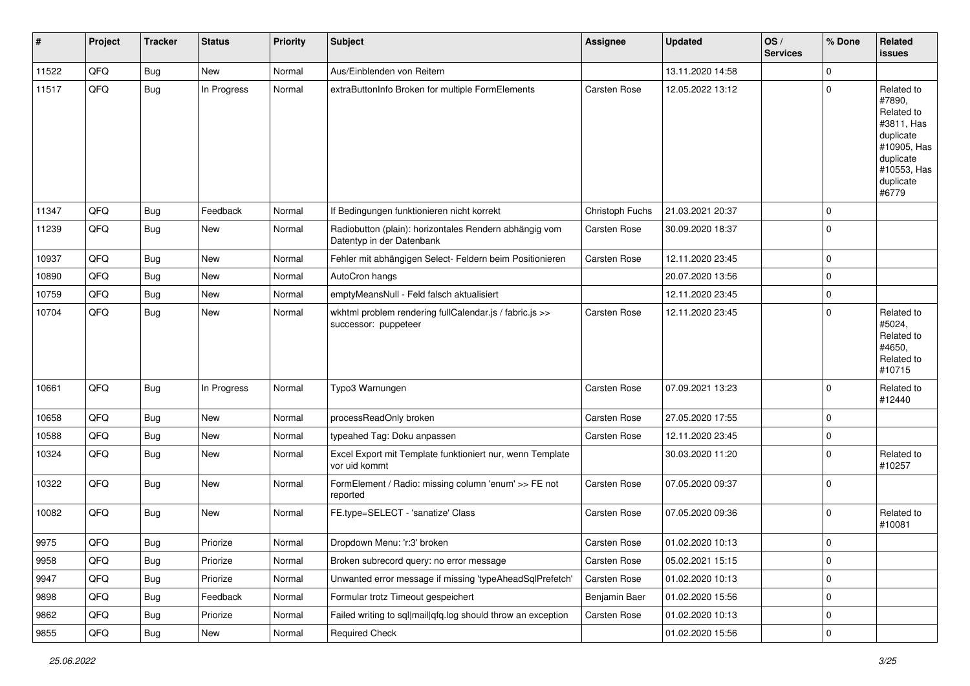| #     | Project | <b>Tracker</b> | <b>Status</b> | <b>Priority</b> | <b>Subject</b>                                                                      | <b>Assignee</b>     | <b>Updated</b>   | OS/<br><b>Services</b> | % Done                  | Related<br><b>issues</b>                                                                                                       |
|-------|---------|----------------|---------------|-----------------|-------------------------------------------------------------------------------------|---------------------|------------------|------------------------|-------------------------|--------------------------------------------------------------------------------------------------------------------------------|
| 11522 | QFQ     | Bug            | New           | Normal          | Aus/Einblenden von Reitern                                                          |                     | 13.11.2020 14:58 |                        | $\mathbf 0$             |                                                                                                                                |
| 11517 | QFQ     | Bug            | In Progress   | Normal          | extraButtonInfo Broken for multiple FormElements                                    | <b>Carsten Rose</b> | 12.05.2022 13:12 |                        | $\mathbf 0$             | Related to<br>#7890,<br>Related to<br>#3811, Has<br>duplicate<br>#10905, Has<br>duplicate<br>#10553, Has<br>duplicate<br>#6779 |
| 11347 | QFQ     | Bug            | Feedback      | Normal          | If Bedingungen funktionieren nicht korrekt                                          | Christoph Fuchs     | 21.03.2021 20:37 |                        | $\Omega$                |                                                                                                                                |
| 11239 | QFQ     | Bug            | New           | Normal          | Radiobutton (plain): horizontales Rendern abhängig vom<br>Datentyp in der Datenbank | <b>Carsten Rose</b> | 30.09.2020 18:37 |                        | $\mathbf 0$             |                                                                                                                                |
| 10937 | QFQ     | <b>Bug</b>     | New           | Normal          | Fehler mit abhängigen Select- Feldern beim Positionieren                            | Carsten Rose        | 12.11.2020 23:45 |                        | 0                       |                                                                                                                                |
| 10890 | QFQ     | Bug            | New           | Normal          | AutoCron hangs                                                                      |                     | 20.07.2020 13:56 |                        | $\mathbf 0$             |                                                                                                                                |
| 10759 | QFQ     | <b>Bug</b>     | New           | Normal          | emptyMeansNull - Feld falsch aktualisiert                                           |                     | 12.11.2020 23:45 |                        | $\mathbf 0$             |                                                                                                                                |
| 10704 | QFQ     | Bug            | <b>New</b>    | Normal          | wkhtml problem rendering fullCalendar.js / fabric.js >><br>successor: puppeteer     | Carsten Rose        | 12.11.2020 23:45 |                        | $\Omega$                | Related to<br>#5024,<br>Related to<br>#4650,<br>Related to<br>#10715                                                           |
| 10661 | QFQ     | Bug            | In Progress   | Normal          | Typo3 Warnungen                                                                     | Carsten Rose        | 07.09.2021 13:23 |                        | $\Omega$                | Related to<br>#12440                                                                                                           |
| 10658 | QFQ     | Bug            | <b>New</b>    | Normal          | processReadOnly broken                                                              | <b>Carsten Rose</b> | 27.05.2020 17:55 |                        | $\Omega$                |                                                                                                                                |
| 10588 | QFQ     | Bug            | <b>New</b>    | Normal          | typeahed Tag: Doku anpassen                                                         | Carsten Rose        | 12.11.2020 23:45 |                        | $\mathbf 0$             |                                                                                                                                |
| 10324 | QFQ     | Bug            | New           | Normal          | Excel Export mit Template funktioniert nur, wenn Template<br>vor uid kommt          |                     | 30.03.2020 11:20 |                        | $\mathbf 0$             | Related to<br>#10257                                                                                                           |
| 10322 | QFQ     | <b>Bug</b>     | <b>New</b>    | Normal          | FormElement / Radio: missing column 'enum' >> FE not<br>reported                    | <b>Carsten Rose</b> | 07.05.2020 09:37 |                        | $\Omega$                |                                                                                                                                |
| 10082 | QFQ     | Bug            | <b>New</b>    | Normal          | FE.type=SELECT - 'sanatize' Class                                                   | <b>Carsten Rose</b> | 07.05.2020 09:36 |                        | 0                       | Related to<br>#10081                                                                                                           |
| 9975  | QFQ     | <b>Bug</b>     | Priorize      | Normal          | Dropdown Menu: 'r:3' broken                                                         | Carsten Rose        | 01.02.2020 10:13 |                        | l 0                     |                                                                                                                                |
| 9958  | QFQ     | <b>Bug</b>     | Priorize      | Normal          | Broken subrecord query: no error message                                            | Carsten Rose        | 05.02.2021 15:15 |                        | 0                       |                                                                                                                                |
| 9947  | QFQ     | <b>Bug</b>     | Priorize      | Normal          | Unwanted error message if missing 'typeAheadSqlPrefetch'                            | Carsten Rose        | 01.02.2020 10:13 |                        | $\mathbf 0$             |                                                                                                                                |
| 9898  | QFQ     | Bug            | Feedback      | Normal          | Formular trotz Timeout gespeichert                                                  | Benjamin Baer       | 01.02.2020 15:56 |                        | 0                       |                                                                                                                                |
| 9862  | QFQ     | Bug            | Priorize      | Normal          | Failed writing to sql mail qfq.log should throw an exception                        | Carsten Rose        | 01.02.2020 10:13 |                        | $\mathbf 0$             |                                                                                                                                |
| 9855  | QFQ     | Bug            | New           | Normal          | <b>Required Check</b>                                                               |                     | 01.02.2020 15:56 |                        | $\overline{\mathbf{0}}$ |                                                                                                                                |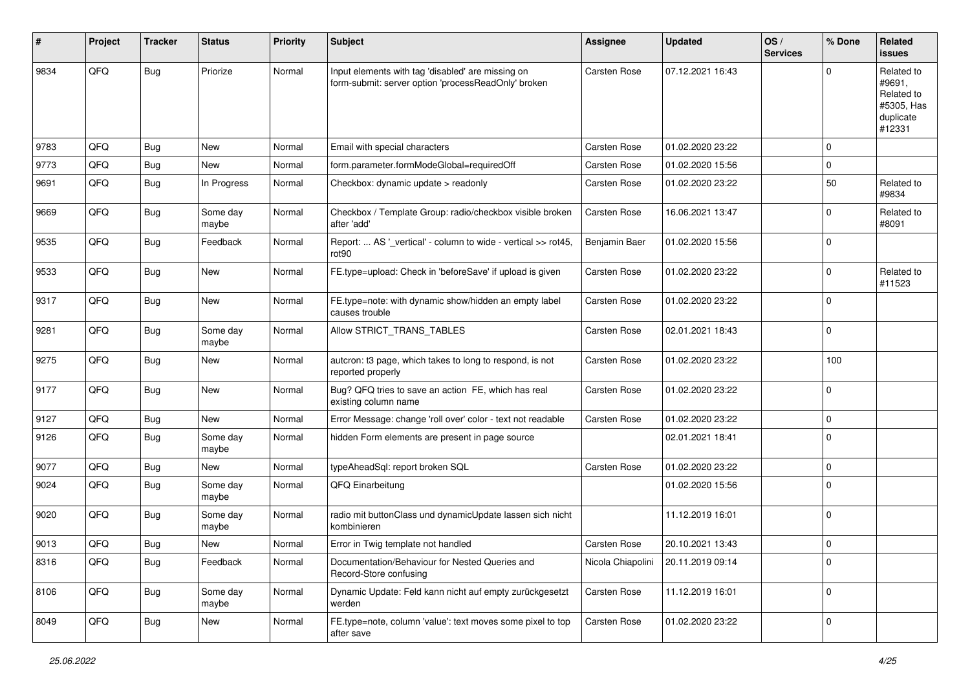| #    | Project | <b>Tracker</b> | <b>Status</b>     | <b>Priority</b> | Subject                                                                                                  | Assignee            | <b>Updated</b>   | OS/<br><b>Services</b> | % Done      | Related<br><b>issues</b>                                                |
|------|---------|----------------|-------------------|-----------------|----------------------------------------------------------------------------------------------------------|---------------------|------------------|------------------------|-------------|-------------------------------------------------------------------------|
| 9834 | QFQ     | <b>Bug</b>     | Priorize          | Normal          | Input elements with tag 'disabled' are missing on<br>form-submit: server option 'processReadOnly' broken | Carsten Rose        | 07.12.2021 16:43 |                        | $\Omega$    | Related to<br>#9691,<br>Related to<br>#5305, Has<br>duplicate<br>#12331 |
| 9783 | QFQ     | <b>Bug</b>     | <b>New</b>        | Normal          | Email with special characters                                                                            | <b>Carsten Rose</b> | 01.02.2020 23:22 |                        | $\mathbf 0$ |                                                                         |
| 9773 | QFQ     | Bug            | <b>New</b>        | Normal          | form.parameter.formModeGlobal=requiredOff                                                                | Carsten Rose        | 01.02.2020 15:56 |                        | $\mathbf 0$ |                                                                         |
| 9691 | QFQ     | Bug            | In Progress       | Normal          | Checkbox: dynamic update > readonly                                                                      | <b>Carsten Rose</b> | 01.02.2020 23:22 |                        | 50          | Related to<br>#9834                                                     |
| 9669 | QFQ     | Bug            | Some day<br>maybe | Normal          | Checkbox / Template Group: radio/checkbox visible broken<br>after 'add'                                  | Carsten Rose        | 16.06.2021 13:47 |                        | $\Omega$    | Related to<br>#8091                                                     |
| 9535 | QFQ     | Bug            | Feedback          | Normal          | Report:  AS '_vertical' - column to wide - vertical >> rot45,<br>rot <sub>90</sub>                       | Benjamin Baer       | 01.02.2020 15:56 |                        | $\mathbf 0$ |                                                                         |
| 9533 | QFQ     | Bug            | New               | Normal          | FE.type=upload: Check in 'beforeSave' if upload is given                                                 | Carsten Rose        | 01.02.2020 23:22 |                        | $\mathbf 0$ | Related to<br>#11523                                                    |
| 9317 | QFQ     | Bug            | <b>New</b>        | Normal          | FE.type=note: with dynamic show/hidden an empty label<br>causes trouble                                  | Carsten Rose        | 01.02.2020 23:22 |                        | $\mathbf 0$ |                                                                         |
| 9281 | QFQ     | <b>Bug</b>     | Some day<br>maybe | Normal          | Allow STRICT_TRANS_TABLES                                                                                | Carsten Rose        | 02.01.2021 18:43 |                        | $\mathbf 0$ |                                                                         |
| 9275 | QFQ     | <b>Bug</b>     | New               | Normal          | autcron: t3 page, which takes to long to respond, is not<br>reported properly                            | Carsten Rose        | 01.02.2020 23:22 |                        | 100         |                                                                         |
| 9177 | QFQ     | <b>Bug</b>     | <b>New</b>        | Normal          | Bug? QFQ tries to save an action FE, which has real<br>existing column name                              | Carsten Rose        | 01.02.2020 23:22 |                        | $\mathbf 0$ |                                                                         |
| 9127 | QFQ     | <b>Bug</b>     | New               | Normal          | Error Message: change 'roll over' color - text not readable                                              | Carsten Rose        | 01.02.2020 23:22 |                        | $\mathbf 0$ |                                                                         |
| 9126 | QFQ     | <b>Bug</b>     | Some day<br>maybe | Normal          | hidden Form elements are present in page source                                                          |                     | 02.01.2021 18:41 |                        | $\mathbf 0$ |                                                                         |
| 9077 | QFQ     | Bug            | <b>New</b>        | Normal          | typeAheadSql: report broken SQL                                                                          | Carsten Rose        | 01.02.2020 23:22 |                        | $\mathbf 0$ |                                                                         |
| 9024 | QFQ     | <b>Bug</b>     | Some day<br>maybe | Normal          | QFQ Einarbeitung                                                                                         |                     | 01.02.2020 15:56 |                        | $\mathbf 0$ |                                                                         |
| 9020 | QFQ     | Bug            | Some day<br>maybe | Normal          | radio mit buttonClass und dynamicUpdate lassen sich nicht<br>kombinieren                                 |                     | 11.12.2019 16:01 |                        | $\mathbf 0$ |                                                                         |
| 9013 | QFQ     | Bug            | <b>New</b>        | Normal          | Error in Twig template not handled                                                                       | Carsten Rose        | 20.10.2021 13:43 |                        | $\mathbf 0$ |                                                                         |
| 8316 | QFQ     | <b>Bug</b>     | Feedback          | Normal          | Documentation/Behaviour for Nested Queries and<br>Record-Store confusing                                 | Nicola Chiapolini   | 20.11.2019 09:14 |                        | $\mathbf 0$ |                                                                         |
| 8106 | QFQ     | <b>Bug</b>     | Some day<br>maybe | Normal          | Dynamic Update: Feld kann nicht auf empty zurückgesetzt<br>werden                                        | Carsten Rose        | 11.12.2019 16:01 |                        | $\mathbf 0$ |                                                                         |
| 8049 | QFQ     | <b>Bug</b>     | New               | Normal          | FE.type=note, column 'value': text moves some pixel to top<br>after save                                 | Carsten Rose        | 01.02.2020 23:22 |                        | 0           |                                                                         |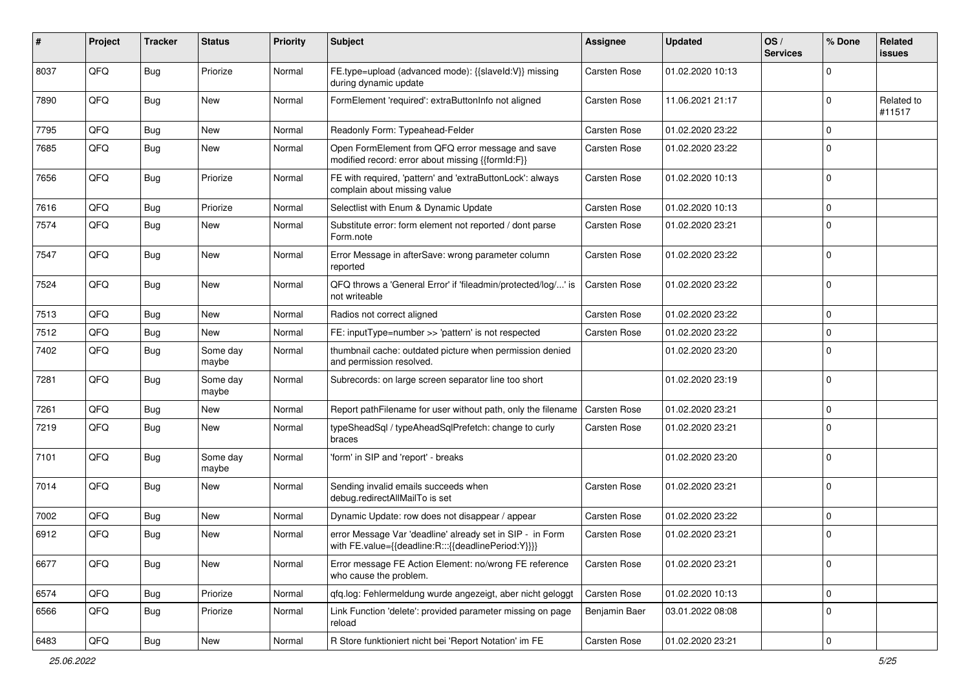| #    | Project | <b>Tracker</b> | <b>Status</b>     | <b>Priority</b> | <b>Subject</b>                                                                                                   | <b>Assignee</b>     | <b>Updated</b>   | OS/<br><b>Services</b> | % Done      | Related<br>issues    |
|------|---------|----------------|-------------------|-----------------|------------------------------------------------------------------------------------------------------------------|---------------------|------------------|------------------------|-------------|----------------------|
| 8037 | QFQ     | <b>Bug</b>     | Priorize          | Normal          | FE.type=upload (advanced mode): {{slaveld:V}} missing<br>during dynamic update                                   | Carsten Rose        | 01.02.2020 10:13 |                        | 0           |                      |
| 7890 | QFQ     | <b>Bug</b>     | New               | Normal          | FormElement 'required': extraButtonInfo not aligned                                                              | Carsten Rose        | 11.06.2021 21:17 |                        | $\mathbf 0$ | Related to<br>#11517 |
| 7795 | QFQ     | Bug            | <b>New</b>        | Normal          | Readonly Form: Typeahead-Felder                                                                                  | Carsten Rose        | 01.02.2020 23:22 |                        | $\mathbf 0$ |                      |
| 7685 | QFQ     | Bug            | <b>New</b>        | Normal          | Open FormElement from QFQ error message and save<br>modified record: error about missing {{formId:F}}            | Carsten Rose        | 01.02.2020 23:22 |                        | $\Omega$    |                      |
| 7656 | QFQ     | <b>Bug</b>     | Priorize          | Normal          | FE with required, 'pattern' and 'extraButtonLock': always<br>complain about missing value                        | Carsten Rose        | 01.02.2020 10:13 |                        | $\mathbf 0$ |                      |
| 7616 | QFQ     | Bug            | Priorize          | Normal          | Selectlist with Enum & Dynamic Update                                                                            | Carsten Rose        | 01.02.2020 10:13 |                        | 0           |                      |
| 7574 | QFQ     | Bug            | New               | Normal          | Substitute error: form element not reported / dont parse<br>Form.note                                            | Carsten Rose        | 01.02.2020 23:21 |                        | $\mathbf 0$ |                      |
| 7547 | QFQ     | Bug            | <b>New</b>        | Normal          | Error Message in afterSave: wrong parameter column<br>reported                                                   | Carsten Rose        | 01.02.2020 23:22 |                        | $\mathbf 0$ |                      |
| 7524 | QFQ     | <b>Bug</b>     | New               | Normal          | QFQ throws a 'General Error' if 'fileadmin/protected/log/' is<br>not writeable                                   | Carsten Rose        | 01.02.2020 23:22 |                        | $\mathbf 0$ |                      |
| 7513 | QFQ     | Bug            | <b>New</b>        | Normal          | Radios not correct aligned                                                                                       | Carsten Rose        | 01.02.2020 23:22 |                        | $\mathbf 0$ |                      |
| 7512 | QFQ     | Bug            | New               | Normal          | FE: inputType=number >> 'pattern' is not respected                                                               | Carsten Rose        | 01.02.2020 23:22 |                        | $\mathbf 0$ |                      |
| 7402 | QFQ     | Bug            | Some day<br>maybe | Normal          | thumbnail cache: outdated picture when permission denied<br>and permission resolved.                             |                     | 01.02.2020 23:20 |                        | 0           |                      |
| 7281 | QFQ     | Bug            | Some day<br>maybe | Normal          | Subrecords: on large screen separator line too short                                                             |                     | 01.02.2020 23:19 |                        | $\mathbf 0$ |                      |
| 7261 | QFQ     | Bug            | <b>New</b>        | Normal          | Report pathFilename for user without path, only the filename                                                     | <b>Carsten Rose</b> | 01.02.2020 23:21 |                        | 0           |                      |
| 7219 | QFQ     | Bug            | <b>New</b>        | Normal          | typeSheadSql / typeAheadSqlPrefetch: change to curly<br>braces                                                   | Carsten Rose        | 01.02.2020 23:21 |                        | $\mathbf 0$ |                      |
| 7101 | QFQ     | <b>Bug</b>     | Some day<br>maybe | Normal          | 'form' in SIP and 'report' - breaks                                                                              |                     | 01.02.2020 23:20 |                        | $\mathbf 0$ |                      |
| 7014 | QFQ     | Bug            | <b>New</b>        | Normal          | Sending invalid emails succeeds when<br>debug.redirectAllMailTo is set                                           | Carsten Rose        | 01.02.2020 23:21 |                        | $\mathbf 0$ |                      |
| 7002 | QFQ     | Bug            | New               | Normal          | Dynamic Update: row does not disappear / appear                                                                  | Carsten Rose        | 01.02.2020 23:22 |                        | $\mathbf 0$ |                      |
| 6912 | QFQ     | Bug            | <b>New</b>        | Normal          | error Message Var 'deadline' already set in SIP - in Form<br>with FE.value={{deadline:R:::{{deadlinePeriod:Y}}}} | Carsten Rose        | 01.02.2020 23:21 |                        | 0           |                      |
| 6677 | QFQ     | <b>Bug</b>     | New               | Normal          | Error message FE Action Element: no/wrong FE reference<br>who cause the problem.                                 | Carsten Rose        | 01.02.2020 23:21 |                        | 0           |                      |
| 6574 | QFQ     | Bug            | Priorize          | Normal          | qfq.log: Fehlermeldung wurde angezeigt, aber nicht geloggt                                                       | Carsten Rose        | 01.02.2020 10:13 |                        | 0           |                      |
| 6566 | QFQ     | <b>Bug</b>     | Priorize          | Normal          | Link Function 'delete': provided parameter missing on page<br>reload                                             | Benjamin Baer       | 03.01.2022 08:08 |                        | 0           |                      |
| 6483 | QFQ     | Bug            | New               | Normal          | R Store funktioniert nicht bei 'Report Notation' im FE                                                           | Carsten Rose        | 01.02.2020 23:21 |                        | 0           |                      |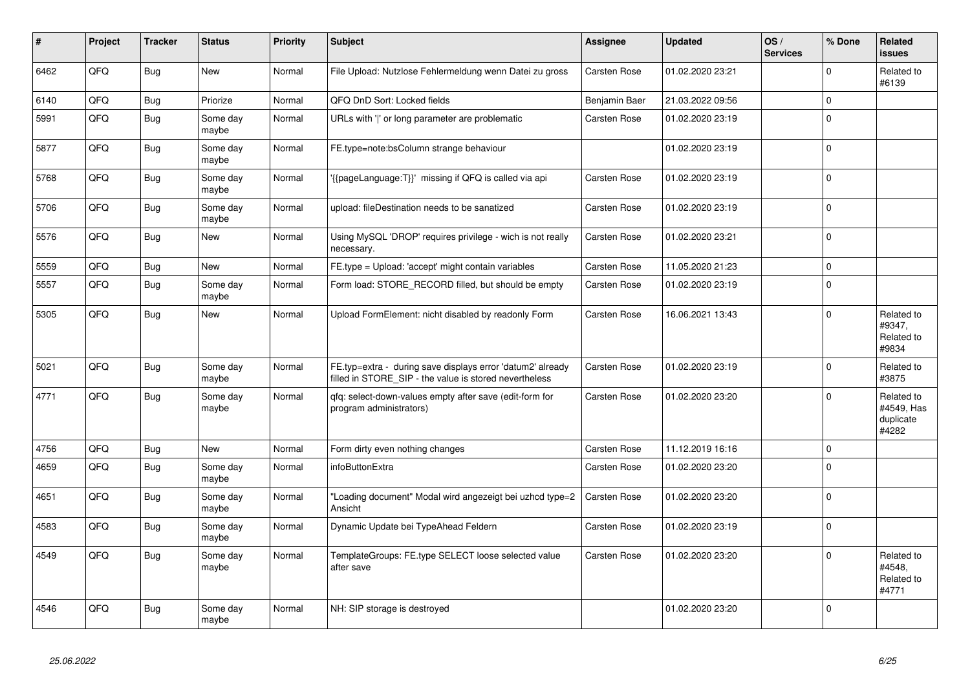| ∦    | Project | <b>Tracker</b> | <b>Status</b>     | <b>Priority</b> | <b>Subject</b>                                                                                                       | <b>Assignee</b>     | <b>Updated</b>   | OS/<br><b>Services</b> | % Done      | Related<br><b>issues</b>                       |
|------|---------|----------------|-------------------|-----------------|----------------------------------------------------------------------------------------------------------------------|---------------------|------------------|------------------------|-------------|------------------------------------------------|
| 6462 | QFQ     | <b>Bug</b>     | New               | Normal          | File Upload: Nutzlose Fehlermeldung wenn Datei zu gross                                                              | Carsten Rose        | 01.02.2020 23:21 |                        | $\Omega$    | Related to<br>#6139                            |
| 6140 | QFQ     | <b>Bug</b>     | Priorize          | Normal          | QFQ DnD Sort: Locked fields                                                                                          | Benjamin Baer       | 21.03.2022 09:56 |                        | $\Omega$    |                                                |
| 5991 | QFQ     | <b>Bug</b>     | Some day<br>maybe | Normal          | URLs with ' ' or long parameter are problematic                                                                      | <b>Carsten Rose</b> | 01.02.2020 23:19 |                        | $\mathbf 0$ |                                                |
| 5877 | QFQ     | <b>Bug</b>     | Some day<br>maybe | Normal          | FE.type=note:bsColumn strange behaviour                                                                              |                     | 01.02.2020 23:19 |                        | $\mathbf 0$ |                                                |
| 5768 | QFQ     | <b>Bug</b>     | Some day<br>maybe | Normal          | '{{pageLanguage:T}}' missing if QFQ is called via api                                                                | <b>Carsten Rose</b> | 01.02.2020 23:19 |                        | $\mathbf 0$ |                                                |
| 5706 | QFQ     | <b>Bug</b>     | Some day<br>maybe | Normal          | upload: fileDestination needs to be sanatized                                                                        | <b>Carsten Rose</b> | 01.02.2020 23:19 |                        | $\mathbf 0$ |                                                |
| 5576 | QFQ     | <b>Bug</b>     | <b>New</b>        | Normal          | Using MySQL 'DROP' requires privilege - wich is not really<br>necessary.                                             | <b>Carsten Rose</b> | 01.02.2020 23:21 |                        | $\mathbf 0$ |                                                |
| 5559 | QFQ     | Bug            | <b>New</b>        | Normal          | FE.type = Upload: 'accept' might contain variables                                                                   | Carsten Rose        | 11.05.2020 21:23 |                        | $\mathbf 0$ |                                                |
| 5557 | QFQ     | <b>Bug</b>     | Some day<br>maybe | Normal          | Form load: STORE_RECORD filled, but should be empty                                                                  | <b>Carsten Rose</b> | 01.02.2020 23:19 |                        | $\mathbf 0$ |                                                |
| 5305 | QFQ     | <b>Bug</b>     | <b>New</b>        | Normal          | Upload FormElement: nicht disabled by readonly Form                                                                  | Carsten Rose        | 16.06.2021 13:43 |                        | $\mathbf 0$ | Related to<br>#9347,<br>Related to<br>#9834    |
| 5021 | QFQ     | <b>Bug</b>     | Some day<br>maybe | Normal          | FE.typ=extra - during save displays error 'datum2' already<br>filled in STORE_SIP - the value is stored nevertheless | Carsten Rose        | 01.02.2020 23:19 |                        | $\mathbf 0$ | Related to<br>#3875                            |
| 4771 | QFQ     | <b>Bug</b>     | Some day<br>maybe | Normal          | qfq: select-down-values empty after save (edit-form for<br>program administrators)                                   | Carsten Rose        | 01.02.2020 23:20 |                        | $\mathbf 0$ | Related to<br>#4549, Has<br>duplicate<br>#4282 |
| 4756 | QFQ     | <b>Bug</b>     | <b>New</b>        | Normal          | Form dirty even nothing changes                                                                                      | <b>Carsten Rose</b> | 11.12.2019 16:16 |                        | $\mathbf 0$ |                                                |
| 4659 | QFQ     | <b>Bug</b>     | Some day<br>maybe | Normal          | infoButtonExtra                                                                                                      | <b>Carsten Rose</b> | 01.02.2020 23:20 |                        | $\Omega$    |                                                |
| 4651 | QFQ     | Bug            | Some day<br>maybe | Normal          | "Loading document" Modal wird angezeigt bei uzhcd type=2<br>Ansicht                                                  | Carsten Rose        | 01.02.2020 23:20 |                        | $\mathbf 0$ |                                                |
| 4583 | QFQ     | <b>Bug</b>     | Some day<br>maybe | Normal          | Dynamic Update bei TypeAhead Feldern                                                                                 | Carsten Rose        | 01.02.2020 23:19 |                        | $\mathbf 0$ |                                                |
| 4549 | QFQ     | Bug            | Some day<br>maybe | Normal          | TemplateGroups: FE.type SELECT loose selected value<br>after save                                                    | Carsten Rose        | 01.02.2020 23:20 |                        | $\mathbf 0$ | Related to<br>#4548,<br>Related to<br>#4771    |
| 4546 | QFQ     | Bug            | Some day<br>maybe | Normal          | NH: SIP storage is destroyed                                                                                         |                     | 01.02.2020 23:20 |                        | $\mathbf 0$ |                                                |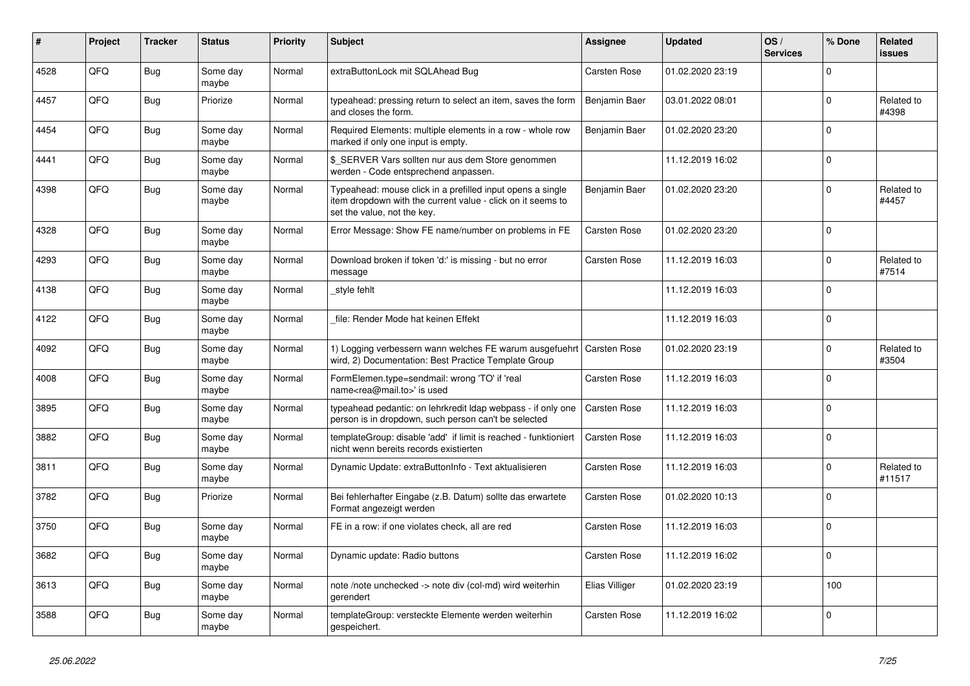| #    | Project | <b>Tracker</b> | <b>Status</b>     | <b>Priority</b> | <b>Subject</b>                                                                                                                                           | <b>Assignee</b>     | <b>Updated</b>   | OS/<br><b>Services</b> | % Done              | Related<br><b>issues</b> |
|------|---------|----------------|-------------------|-----------------|----------------------------------------------------------------------------------------------------------------------------------------------------------|---------------------|------------------|------------------------|---------------------|--------------------------|
| 4528 | QFQ     | <b>Bug</b>     | Some day<br>maybe | Normal          | extraButtonLock mit SQLAhead Bug                                                                                                                         | <b>Carsten Rose</b> | 01.02.2020 23:19 |                        | $\mathbf 0$         |                          |
| 4457 | QFQ     | <b>Bug</b>     | Priorize          | Normal          | typeahead: pressing return to select an item, saves the form<br>and closes the form.                                                                     | Benjamin Baer       | 03.01.2022 08:01 |                        | $\mathbf 0$         | Related to<br>#4398      |
| 4454 | QFQ     | Bug            | Some day<br>maybe | Normal          | Required Elements: multiple elements in a row - whole row<br>marked if only one input is empty.                                                          | Benjamin Baer       | 01.02.2020 23:20 |                        | $\Omega$            |                          |
| 4441 | QFQ     | Bug            | Some day<br>maybe | Normal          | \$_SERVER Vars sollten nur aus dem Store genommen<br>werden - Code entsprechend anpassen.                                                                |                     | 11.12.2019 16:02 |                        | $\mathbf 0$         |                          |
| 4398 | QFQ     | Bug            | Some day<br>maybe | Normal          | Typeahead: mouse click in a prefilled input opens a single<br>item dropdown with the current value - click on it seems to<br>set the value, not the key. | Benjamin Baer       | 01.02.2020 23:20 |                        | $\mathbf 0$         | Related to<br>#4457      |
| 4328 | QFQ     | <b>Bug</b>     | Some day<br>maybe | Normal          | Error Message: Show FE name/number on problems in FE                                                                                                     | Carsten Rose        | 01.02.2020 23:20 |                        | $\mathbf 0$         |                          |
| 4293 | QFQ     | Bug            | Some day<br>maybe | Normal          | Download broken if token 'd:' is missing - but no error<br>message                                                                                       | Carsten Rose        | 11.12.2019 16:03 |                        | $\mathbf 0$         | Related to<br>#7514      |
| 4138 | QFQ     | <b>Bug</b>     | Some day<br>maybe | Normal          | style fehlt                                                                                                                                              |                     | 11.12.2019 16:03 |                        | $\mathbf 0$         |                          |
| 4122 | QFQ     | Bug            | Some day<br>maybe | Normal          | file: Render Mode hat keinen Effekt                                                                                                                      |                     | 11.12.2019 16:03 |                        | $\mathsf{O}\xspace$ |                          |
| 4092 | QFQ     | <b>Bug</b>     | Some day<br>maybe | Normal          | 1) Logging verbessern wann welches FE warum ausgefuehrt   Carsten Rose<br>wird, 2) Documentation: Best Practice Template Group                           |                     | 01.02.2020 23:19 |                        | $\mathbf 0$         | Related to<br>#3504      |
| 4008 | QFQ     | Bug            | Some day<br>maybe | Normal          | FormElemen.type=sendmail: wrong 'TO' if 'real<br>name <rea@mail.to>' is used</rea@mail.to>                                                               | Carsten Rose        | 11.12.2019 16:03 |                        | $\Omega$            |                          |
| 3895 | QFQ     | <b>Bug</b>     | Some day<br>maybe | Normal          | typeahead pedantic: on lehrkredit Idap webpass - if only one<br>person is in dropdown, such person can't be selected                                     | Carsten Rose        | 11.12.2019 16:03 |                        | $\mathbf 0$         |                          |
| 3882 | QFQ     | Bug            | Some day<br>maybe | Normal          | templateGroup: disable 'add' if limit is reached - funktioniert<br>nicht wenn bereits records existierten                                                | Carsten Rose        | 11.12.2019 16:03 |                        | $\mathbf 0$         |                          |
| 3811 | QFQ     | Bug            | Some day<br>maybe | Normal          | Dynamic Update: extraButtonInfo - Text aktualisieren                                                                                                     | <b>Carsten Rose</b> | 11.12.2019 16:03 |                        | $\Omega$            | Related to<br>#11517     |
| 3782 | QFQ     | Bug            | Priorize          | Normal          | Bei fehlerhafter Eingabe (z.B. Datum) sollte das erwartete<br>Format angezeigt werden                                                                    | Carsten Rose        | 01.02.2020 10:13 |                        | $\mathbf 0$         |                          |
| 3750 | QFQ     | <b>Bug</b>     | Some day<br>maybe | Normal          | FE in a row: if one violates check, all are red                                                                                                          | <b>Carsten Rose</b> | 11.12.2019 16:03 |                        | $\mathbf 0$         |                          |
| 3682 | QFQ     | <b>Bug</b>     | Some day<br>maybe | Normal          | Dynamic update: Radio buttons                                                                                                                            | Carsten Rose        | 11.12.2019 16:02 |                        | $\Omega$            |                          |
| 3613 | QFQ     | Bug            | Some day<br>maybe | Normal          | note /note unchecked -> note div (col-md) wird weiterhin<br>gerendert                                                                                    | Elias Villiger      | 01.02.2020 23:19 |                        | 100                 |                          |
| 3588 | QFQ     | Bug            | Some day<br>maybe | Normal          | templateGroup: versteckte Elemente werden weiterhin<br>gespeichert.                                                                                      | Carsten Rose        | 11.12.2019 16:02 |                        | $\mathbf 0$         |                          |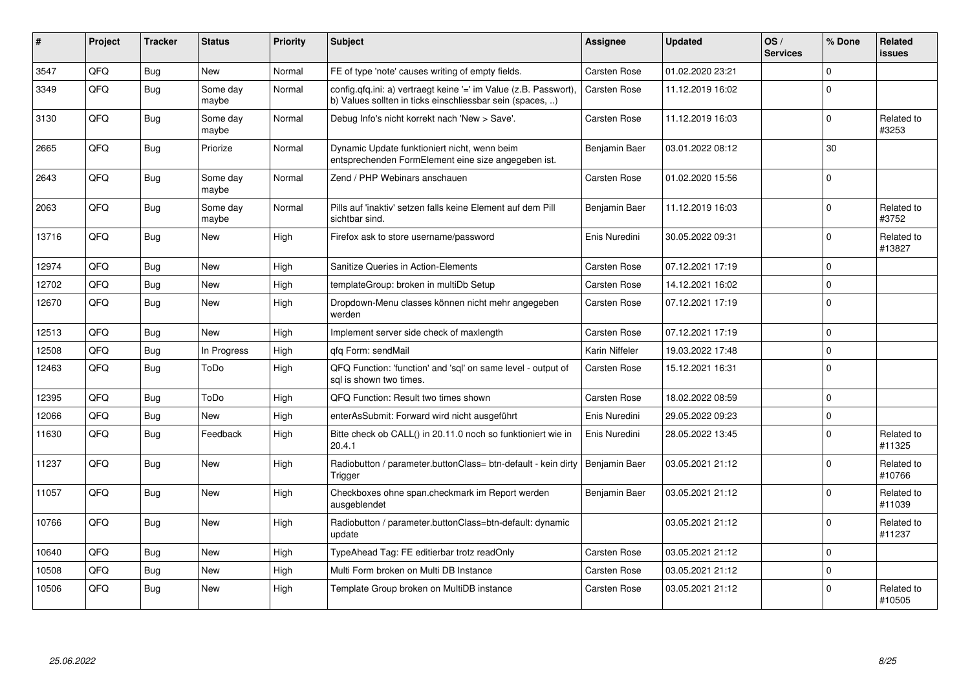| #     | Project | <b>Tracker</b> | <b>Status</b>     | <b>Priority</b> | <b>Subject</b>                                                                                                                | <b>Assignee</b>     | <b>Updated</b>   | OS/<br><b>Services</b> | % Done      | Related<br><b>issues</b> |
|-------|---------|----------------|-------------------|-----------------|-------------------------------------------------------------------------------------------------------------------------------|---------------------|------------------|------------------------|-------------|--------------------------|
| 3547  | QFQ     | Bug            | <b>New</b>        | Normal          | FE of type 'note' causes writing of empty fields.                                                                             | Carsten Rose        | 01.02.2020 23:21 |                        | $\Omega$    |                          |
| 3349  | QFQ     | <b>Bug</b>     | Some day<br>maybe | Normal          | config.qfq.ini: a) vertraegt keine '=' im Value (z.B. Passwort),<br>b) Values sollten in ticks einschliessbar sein (spaces, ) | <b>Carsten Rose</b> | 11.12.2019 16:02 |                        | $\mathbf 0$ |                          |
| 3130  | QFQ     | <b>Bug</b>     | Some day<br>maybe | Normal          | Debug Info's nicht korrekt nach 'New > Save'.                                                                                 | <b>Carsten Rose</b> | 11.12.2019 16:03 |                        | $\mathbf 0$ | Related to<br>#3253      |
| 2665  | QFQ     | Bug            | Priorize          | Normal          | Dynamic Update funktioniert nicht, wenn beim<br>entsprechenden FormElement eine size angegeben ist.                           | Benjamin Baer       | 03.01.2022 08:12 |                        | 30          |                          |
| 2643  | QFQ     | <b>Bug</b>     | Some day<br>maybe | Normal          | Zend / PHP Webinars anschauen                                                                                                 | Carsten Rose        | 01.02.2020 15:56 |                        | $\Omega$    |                          |
| 2063  | QFQ     | Bug            | Some day<br>maybe | Normal          | Pills auf 'inaktiv' setzen falls keine Element auf dem Pill<br>sichtbar sind.                                                 | Benjamin Baer       | 11.12.2019 16:03 |                        | $\mathbf 0$ | Related to<br>#3752      |
| 13716 | QFQ     | Bug            | <b>New</b>        | High            | Firefox ask to store username/password                                                                                        | Enis Nuredini       | 30.05.2022 09:31 |                        | $\mathbf 0$ | Related to<br>#13827     |
| 12974 | QFQ     | <b>Bug</b>     | <b>New</b>        | High            | Sanitize Queries in Action-Elements                                                                                           | <b>Carsten Rose</b> | 07.12.2021 17:19 |                        | $\mathbf 0$ |                          |
| 12702 | QFQ     | <b>Bug</b>     | New               | High            | templateGroup: broken in multiDb Setup                                                                                        | <b>Carsten Rose</b> | 14.12.2021 16:02 |                        | $\Omega$    |                          |
| 12670 | QFQ     | Bug            | New               | High            | Dropdown-Menu classes können nicht mehr angegeben<br>werden                                                                   | Carsten Rose        | 07.12.2021 17:19 |                        | $\mathbf 0$ |                          |
| 12513 | QFQ     | <b>Bug</b>     | <b>New</b>        | High            | Implement server side check of maxlength                                                                                      | <b>Carsten Rose</b> | 07.12.2021 17:19 |                        | $\mathbf 0$ |                          |
| 12508 | QFQ     | <b>Bug</b>     | In Progress       | High            | gfg Form: sendMail                                                                                                            | Karin Niffeler      | 19.03.2022 17:48 |                        | $\mathbf 0$ |                          |
| 12463 | QFQ     | <b>Bug</b>     | ToDo              | High            | QFQ Function: 'function' and 'sql' on same level - output of<br>sal is shown two times.                                       | Carsten Rose        | 15.12.2021 16:31 |                        | $\mathbf 0$ |                          |
| 12395 | QFQ     | <b>Bug</b>     | ToDo              | High            | QFQ Function: Result two times shown                                                                                          | <b>Carsten Rose</b> | 18.02.2022 08:59 |                        | $\mathbf 0$ |                          |
| 12066 | QFQ     | <b>Bug</b>     | New               | High            | enterAsSubmit: Forward wird nicht ausgeführt                                                                                  | Enis Nuredini       | 29.05.2022 09:23 |                        | $\mathbf 0$ |                          |
| 11630 | QFQ     | Bug            | Feedback          | High            | Bitte check ob CALL() in 20.11.0 noch so funktioniert wie in<br>20.4.1                                                        | Enis Nuredini       | 28.05.2022 13:45 |                        | $\Omega$    | Related to<br>#11325     |
| 11237 | QFQ     | <b>Bug</b>     | <b>New</b>        | High            | Radiobutton / parameter.buttonClass= btn-default - kein dirty<br>Trigger                                                      | Benjamin Baer       | 03.05.2021 21:12 |                        | $\Omega$    | Related to<br>#10766     |
| 11057 | QFQ     | Bug            | New               | High            | Checkboxes ohne span.checkmark im Report werden<br>ausgeblendet                                                               | Benjamin Baer       | 03.05.2021 21:12 |                        | $\mathbf 0$ | Related to<br>#11039     |
| 10766 | QFQ     | Bug            | New               | High            | Radiobutton / parameter.buttonClass=btn-default: dynamic<br>update                                                            |                     | 03.05.2021 21:12 |                        | $\mathbf 0$ | Related to<br>#11237     |
| 10640 | QFQ     | <b>Bug</b>     | <b>New</b>        | High            | TypeAhead Tag: FE editierbar trotz readOnly                                                                                   | <b>Carsten Rose</b> | 03.05.2021 21:12 |                        | $\mathbf 0$ |                          |
| 10508 | QFQ     | <b>Bug</b>     | New               | High            | Multi Form broken on Multi DB Instance                                                                                        | <b>Carsten Rose</b> | 03.05.2021 21:12 |                        | $\pmb{0}$   |                          |
| 10506 | QFQ     | Bug            | New               | High            | Template Group broken on MultiDB instance                                                                                     | <b>Carsten Rose</b> | 03.05.2021 21:12 |                        | $\mathbf 0$ | Related to<br>#10505     |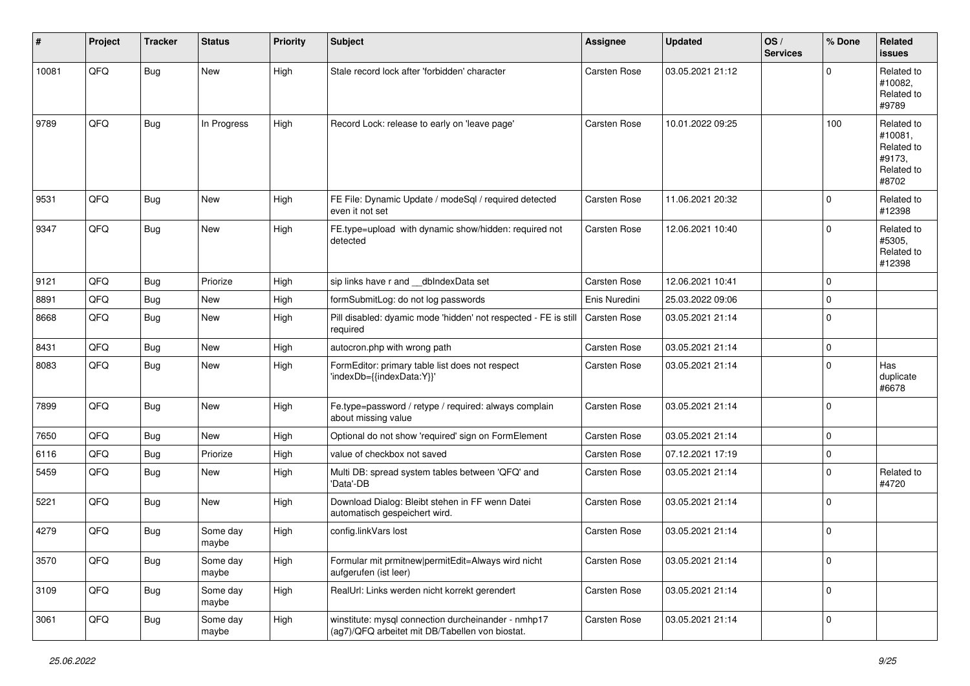| #     | Project | <b>Tracker</b> | <b>Status</b>     | <b>Priority</b> | <b>Subject</b>                                                                                         | <b>Assignee</b> | <b>Updated</b>   | OS/<br><b>Services</b> | % Done      | <b>Related</b><br><b>issues</b>                                      |
|-------|---------|----------------|-------------------|-----------------|--------------------------------------------------------------------------------------------------------|-----------------|------------------|------------------------|-------------|----------------------------------------------------------------------|
| 10081 | QFQ     | <b>Bug</b>     | New               | High            | Stale record lock after 'forbidden' character                                                          | Carsten Rose    | 03.05.2021 21:12 |                        | $\mathbf 0$ | Related to<br>#10082,<br>Related to<br>#9789                         |
| 9789  | QFQ     | Bug            | In Progress       | High            | Record Lock: release to early on 'leave page'                                                          | Carsten Rose    | 10.01.2022 09:25 |                        | 100         | Related to<br>#10081,<br>Related to<br>#9173,<br>Related to<br>#8702 |
| 9531  | QFQ     | Bug            | New               | High            | FE File: Dynamic Update / modeSql / required detected<br>even it not set                               | Carsten Rose    | 11.06.2021 20:32 |                        | $\mathbf 0$ | Related to<br>#12398                                                 |
| 9347  | QFQ     | <b>Bug</b>     | New               | High            | FE.type=upload with dynamic show/hidden: required not<br>detected                                      | Carsten Rose    | 12.06.2021 10:40 |                        | $\mathbf 0$ | Related to<br>#5305,<br>Related to<br>#12398                         |
| 9121  | QFQ     | <b>Bug</b>     | Priorize          | High            | sip links have r and __dbIndexData set                                                                 | Carsten Rose    | 12.06.2021 10:41 |                        | $\mathbf 0$ |                                                                      |
| 8891  | QFQ     | Bug            | New               | High            | formSubmitLog: do not log passwords                                                                    | Enis Nuredini   | 25.03.2022 09:06 |                        | $\mathbf 0$ |                                                                      |
| 8668  | QFQ     | Bug            | New               | High            | Pill disabled: dyamic mode 'hidden' not respected - FE is still<br>required                            | Carsten Rose    | 03.05.2021 21:14 |                        | $\mathbf 0$ |                                                                      |
| 8431  | QFQ     | Bug            | New               | High            | autocron.php with wrong path                                                                           | Carsten Rose    | 03.05.2021 21:14 |                        | $\pmb{0}$   |                                                                      |
| 8083  | QFQ     | Bug            | New               | High            | FormEditor: primary table list does not respect<br>'indexDb={{indexData:Y}}'                           | Carsten Rose    | 03.05.2021 21:14 |                        | $\mathbf 0$ | Has<br>duplicate<br>#6678                                            |
| 7899  | QFQ     | Bug            | New               | High            | Fe.type=password / retype / required: always complain<br>about missing value                           | Carsten Rose    | 03.05.2021 21:14 |                        | $\mathbf 0$ |                                                                      |
| 7650  | QFQ     | Bug            | New               | High            | Optional do not show 'required' sign on FormElement                                                    | Carsten Rose    | 03.05.2021 21:14 |                        | $\mathbf 0$ |                                                                      |
| 6116  | QFQ     | Bug            | Priorize          | High            | value of checkbox not saved                                                                            | Carsten Rose    | 07.12.2021 17:19 |                        | $\mathbf 0$ |                                                                      |
| 5459  | QFQ     | Bug            | New               | High            | Multi DB: spread system tables between 'QFQ' and<br>'Data'-DB                                          | Carsten Rose    | 03.05.2021 21:14 |                        | $\mathbf 0$ | Related to<br>#4720                                                  |
| 5221  | QFQ     | Bug            | New               | High            | Download Dialog: Bleibt stehen in FF wenn Datei<br>automatisch gespeichert wird.                       | Carsten Rose    | 03.05.2021 21:14 |                        | $\mathbf 0$ |                                                                      |
| 4279  | QFQ     | Bug            | Some day<br>maybe | High            | config.linkVars lost                                                                                   | Carsten Rose    | 03.05.2021 21:14 |                        | $\mathbf 0$ |                                                                      |
| 3570  | QFQ     | Bug            | Some day<br>maybe | High            | Formular mit prmitnew permitEdit=Always wird nicht<br>aufgerufen (ist leer)                            | Carsten Rose    | 03.05.2021 21:14 |                        | $\pmb{0}$   |                                                                      |
| 3109  | QFQ     | Bug            | Some day<br>maybe | High            | RealUrl: Links werden nicht korrekt gerendert                                                          | Carsten Rose    | 03.05.2021 21:14 |                        | $\mathbf 0$ |                                                                      |
| 3061  | QFQ     | <b>Bug</b>     | Some day<br>maybe | High            | winstitute: mysql connection durcheinander - nmhp17<br>(ag7)/QFQ arbeitet mit DB/Tabellen von biostat. | Carsten Rose    | 03.05.2021 21:14 |                        | $\pmb{0}$   |                                                                      |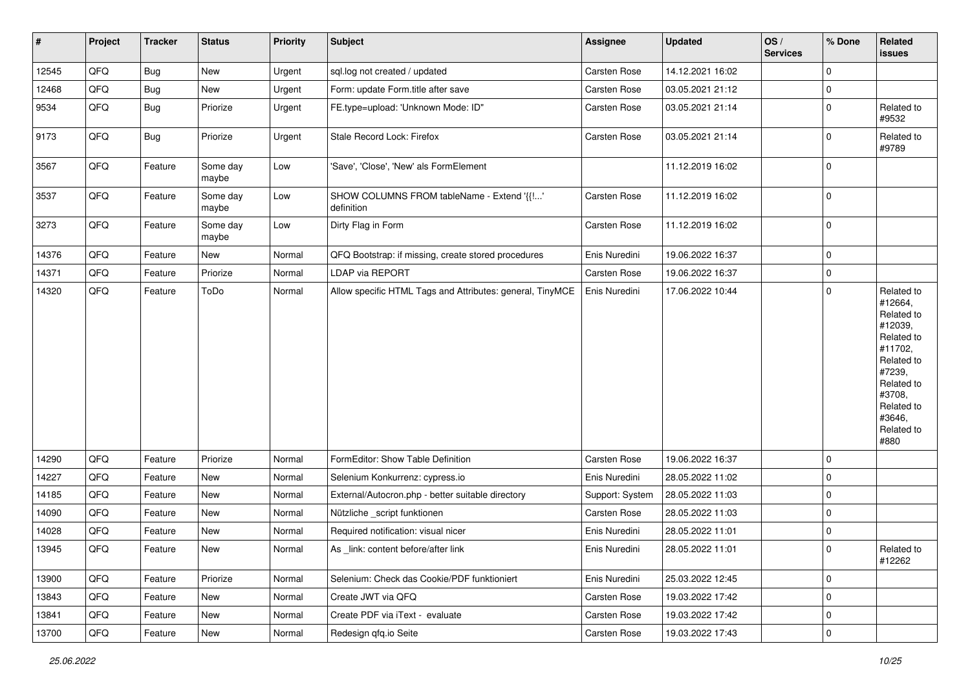| #     | Project | <b>Tracker</b> | <b>Status</b>     | <b>Priority</b> | Subject                                                   | Assignee            | <b>Updated</b>   | OS/<br><b>Services</b> | % Done      | Related<br>issues                                                                                                                                                     |
|-------|---------|----------------|-------------------|-----------------|-----------------------------------------------------------|---------------------|------------------|------------------------|-------------|-----------------------------------------------------------------------------------------------------------------------------------------------------------------------|
| 12545 | QFQ     | <b>Bug</b>     | <b>New</b>        | Urgent          | sql.log not created / updated                             | Carsten Rose        | 14.12.2021 16:02 |                        | $\Omega$    |                                                                                                                                                                       |
| 12468 | QFQ     | <b>Bug</b>     | New               | Urgent          | Form: update Form.title after save                        | <b>Carsten Rose</b> | 03.05.2021 21:12 |                        | $\mathbf 0$ |                                                                                                                                                                       |
| 9534  | QFQ     | Bug            | Priorize          | Urgent          | FE.type=upload: 'Unknown Mode: ID"                        | Carsten Rose        | 03.05.2021 21:14 |                        | $\mathbf 0$ | Related to<br>#9532                                                                                                                                                   |
| 9173  | QFQ     | <b>Bug</b>     | Priorize          | Urgent          | Stale Record Lock: Firefox                                | Carsten Rose        | 03.05.2021 21:14 |                        | $\Omega$    | Related to<br>#9789                                                                                                                                                   |
| 3567  | QFQ     | Feature        | Some day<br>maybe | Low             | 'Save', 'Close', 'New' als FormElement                    |                     | 11.12.2019 16:02 |                        | $\mathbf 0$ |                                                                                                                                                                       |
| 3537  | QFQ     | Feature        | Some day<br>maybe | Low             | SHOW COLUMNS FROM tableName - Extend '{{!'<br>definition  | <b>Carsten Rose</b> | 11.12.2019 16:02 |                        | $\mathbf 0$ |                                                                                                                                                                       |
| 3273  | QFQ     | Feature        | Some day<br>maybe | Low             | Dirty Flag in Form                                        | Carsten Rose        | 11.12.2019 16:02 |                        | $\mathbf 0$ |                                                                                                                                                                       |
| 14376 | QFQ     | Feature        | New               | Normal          | QFQ Bootstrap: if missing, create stored procedures       | Enis Nuredini       | 19.06.2022 16:37 |                        | $\mathbf 0$ |                                                                                                                                                                       |
| 14371 | QFQ     | Feature        | Priorize          | Normal          | LDAP via REPORT                                           | Carsten Rose        | 19.06.2022 16:37 |                        | $\mathbf 0$ |                                                                                                                                                                       |
| 14320 | QFQ     | Feature        | ToDo              | Normal          | Allow specific HTML Tags and Attributes: general, TinyMCE | Enis Nuredini       | 17.06.2022 10:44 |                        | $\mathbf 0$ | Related to<br>#12664.<br>Related to<br>#12039,<br>Related to<br>#11702,<br>Related to<br>#7239,<br>Related to<br>#3708,<br>Related to<br>#3646,<br>Related to<br>#880 |
| 14290 | QFQ     | Feature        | Priorize          | Normal          | FormEditor: Show Table Definition                         | Carsten Rose        | 19.06.2022 16:37 |                        | $\mathbf 0$ |                                                                                                                                                                       |
| 14227 | QFQ     | Feature        | New               | Normal          | Selenium Konkurrenz: cypress.io                           | Enis Nuredini       | 28.05.2022 11:02 |                        | $\mathbf 0$ |                                                                                                                                                                       |
| 14185 | QFQ     | Feature        | New               | Normal          | External/Autocron.php - better suitable directory         | Support: System     | 28.05.2022 11:03 |                        | $\mathbf 0$ |                                                                                                                                                                       |
| 14090 | QFQ     | Feature        | New               | Normal          | Nützliche _script funktionen                              | <b>Carsten Rose</b> | 28.05.2022 11:03 |                        | $\mathbf 0$ |                                                                                                                                                                       |
| 14028 | QFQ     | Feature        | New               | Normal          | Required notification: visual nicer                       | Enis Nuredini       | 28.05.2022 11:01 |                        | $\mathbf 0$ |                                                                                                                                                                       |
| 13945 | QFQ     | Feature        | New               | Normal          | As _link: content before/after link                       | Enis Nuredini       | 28.05.2022 11:01 |                        | 0           | Related to<br>#12262                                                                                                                                                  |
| 13900 | QFQ     | Feature        | Priorize          | Normal          | Selenium: Check das Cookie/PDF funktioniert               | Enis Nuredini       | 25.03.2022 12:45 |                        | $\Omega$    |                                                                                                                                                                       |
| 13843 | QFQ     | Feature        | New               | Normal          | Create JWT via QFQ                                        | Carsten Rose        | 19.03.2022 17:42 |                        | $\mathbf 0$ |                                                                                                                                                                       |
| 13841 | QFQ     | Feature        | New               | Normal          | Create PDF via iText - evaluate                           | Carsten Rose        | 19.03.2022 17:42 |                        | 0           |                                                                                                                                                                       |
| 13700 | QFQ     | Feature        | New               | Normal          | Redesign gfg.io Seite                                     | Carsten Rose        | 19.03.2022 17:43 |                        | $\mathbf 0$ |                                                                                                                                                                       |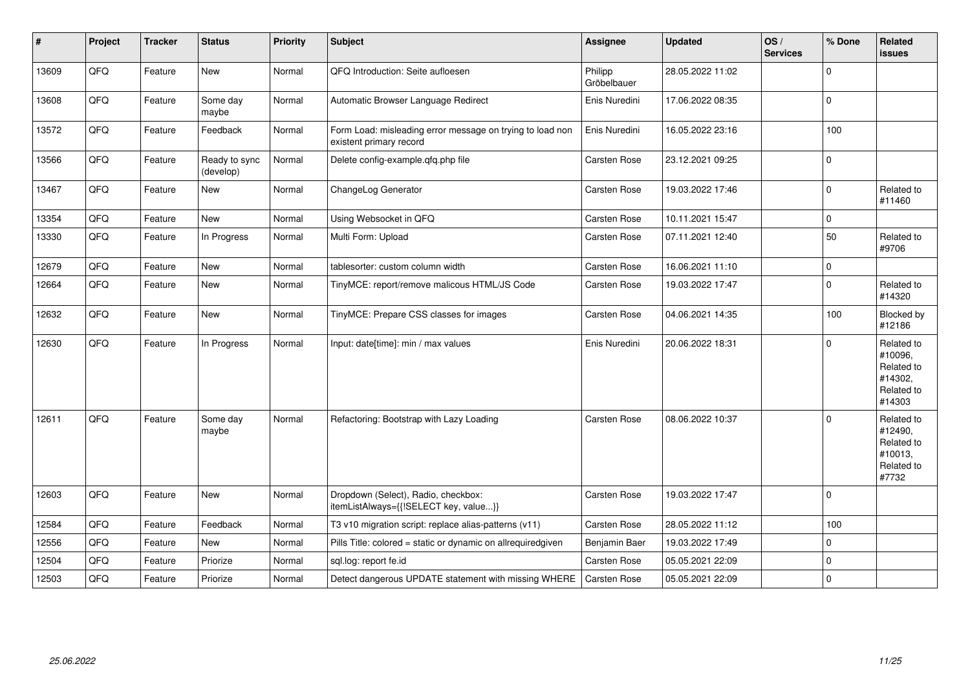| #     | Project | <b>Tracker</b> | <b>Status</b>              | <b>Priority</b> | <b>Subject</b>                                                                       | Assignee               | <b>Updated</b>   | OS/<br><b>Services</b> | % Done      | Related<br>issues                                                      |
|-------|---------|----------------|----------------------------|-----------------|--------------------------------------------------------------------------------------|------------------------|------------------|------------------------|-------------|------------------------------------------------------------------------|
| 13609 | QFQ     | Feature        | New                        | Normal          | QFQ Introduction: Seite aufloesen                                                    | Philipp<br>Gröbelbauer | 28.05.2022 11:02 |                        | $\Omega$    |                                                                        |
| 13608 | QFQ     | Feature        | Some day<br>maybe          | Normal          | Automatic Browser Language Redirect                                                  | Enis Nuredini          | 17.06.2022 08:35 |                        | $\Omega$    |                                                                        |
| 13572 | QFQ     | Feature        | Feedback                   | Normal          | Form Load: misleading error message on trying to load non<br>existent primary record | Enis Nuredini          | 16.05.2022 23:16 |                        | 100         |                                                                        |
| 13566 | QFQ     | Feature        | Ready to sync<br>(develop) | Normal          | Delete config-example.qfq.php file                                                   | Carsten Rose           | 23.12.2021 09:25 |                        | $\Omega$    |                                                                        |
| 13467 | QFQ     | Feature        | New                        | Normal          | ChangeLog Generator                                                                  | Carsten Rose           | 19.03.2022 17:46 |                        | $\Omega$    | Related to<br>#11460                                                   |
| 13354 | QFQ     | Feature        | New                        | Normal          | Using Websocket in QFQ                                                               | Carsten Rose           | 10.11.2021 15:47 |                        | $\mathbf 0$ |                                                                        |
| 13330 | QFQ     | Feature        | In Progress                | Normal          | Multi Form: Upload                                                                   | <b>Carsten Rose</b>    | 07.11.2021 12:40 |                        | 50          | Related to<br>#9706                                                    |
| 12679 | QFQ     | Feature        | <b>New</b>                 | Normal          | tablesorter: custom column width                                                     | <b>Carsten Rose</b>    | 16.06.2021 11:10 |                        | $\pmb{0}$   |                                                                        |
| 12664 | QFQ     | Feature        | New                        | Normal          | TinyMCE: report/remove malicous HTML/JS Code                                         | Carsten Rose           | 19.03.2022 17:47 |                        | $\Omega$    | Related to<br>#14320                                                   |
| 12632 | QFQ     | Feature        | New                        | Normal          | TinyMCE: Prepare CSS classes for images                                              | Carsten Rose           | 04.06.2021 14:35 |                        | 100         | Blocked by<br>#12186                                                   |
| 12630 | QFQ     | Feature        | In Progress                | Normal          | Input: date[time]: min / max values                                                  | Enis Nuredini          | 20.06.2022 18:31 |                        | $\Omega$    | Related to<br>#10096,<br>Related to<br>#14302,<br>Related to<br>#14303 |
| 12611 | QFQ     | Feature        | Some day<br>maybe          | Normal          | Refactoring: Bootstrap with Lazy Loading                                             | <b>Carsten Rose</b>    | 08.06.2022 10:37 |                        | $\Omega$    | Related to<br>#12490,<br>Related to<br>#10013,<br>Related to<br>#7732  |
| 12603 | QFQ     | Feature        | New                        | Normal          | Dropdown (Select), Radio, checkbox:<br>itemListAlways={{!SELECT key, value}}         | <b>Carsten Rose</b>    | 19.03.2022 17:47 |                        | 0           |                                                                        |
| 12584 | QFQ     | Feature        | Feedback                   | Normal          | T3 v10 migration script: replace alias-patterns (v11)                                | Carsten Rose           | 28.05.2022 11:12 |                        | 100         |                                                                        |
| 12556 | QFQ     | Feature        | New                        | Normal          | Pills Title: colored = static or dynamic on allrequiredgiven                         | Benjamin Baer          | 19.03.2022 17:49 |                        | $\Omega$    |                                                                        |
| 12504 | QFQ     | Feature        | Priorize                   | Normal          | sql.log: report fe.id                                                                | Carsten Rose           | 05.05.2021 22:09 |                        | $\Omega$    |                                                                        |
| 12503 | QFQ     | Feature        | Priorize                   | Normal          | Detect dangerous UPDATE statement with missing WHERE                                 | Carsten Rose           | 05.05.2021 22:09 |                        | $\mathbf 0$ |                                                                        |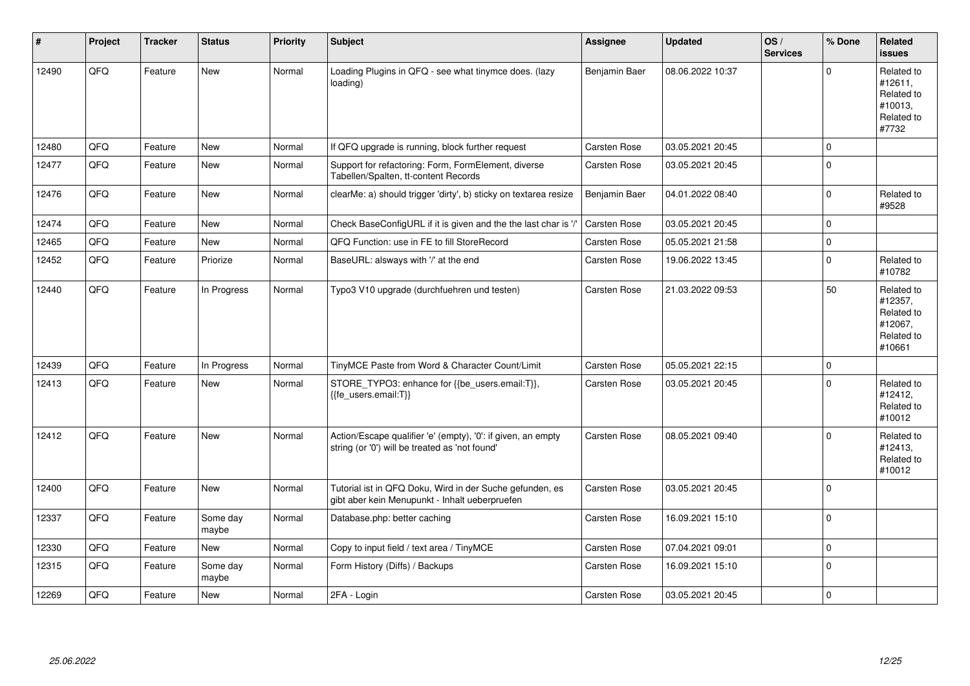| $\vert$ # | Project | <b>Tracker</b> | <b>Status</b>     | <b>Priority</b> | <b>Subject</b>                                                                                                 | <b>Assignee</b> | <b>Updated</b>   | OS/<br><b>Services</b> | % Done       | Related<br><b>issues</b>                                               |
|-----------|---------|----------------|-------------------|-----------------|----------------------------------------------------------------------------------------------------------------|-----------------|------------------|------------------------|--------------|------------------------------------------------------------------------|
| 12490     | QFQ     | Feature        | <b>New</b>        | Normal          | Loading Plugins in QFQ - see what tinymce does. (lazy<br>loading)                                              | Benjamin Baer   | 08.06.2022 10:37 |                        | $\mathbf{0}$ | Related to<br>#12611,<br>Related to<br>#10013,<br>Related to<br>#7732  |
| 12480     | QFQ     | Feature        | New               | Normal          | If QFQ upgrade is running, block further request                                                               | Carsten Rose    | 03.05.2021 20:45 |                        | $\Omega$     |                                                                        |
| 12477     | QFQ     | Feature        | New               | Normal          | Support for refactoring: Form, FormElement, diverse<br>Tabellen/Spalten, tt-content Records                    | Carsten Rose    | 03.05.2021 20:45 |                        | $\Omega$     |                                                                        |
| 12476     | QFQ     | Feature        | New               | Normal          | clearMe: a) should trigger 'dirty', b) sticky on textarea resize                                               | Benjamin Baer   | 04.01.2022 08:40 |                        | $\Omega$     | Related to<br>#9528                                                    |
| 12474     | QFQ     | Feature        | <b>New</b>        | Normal          | Check BaseConfigURL if it is given and the the last char is '/'                                                | Carsten Rose    | 03.05.2021 20:45 |                        | $\mathbf 0$  |                                                                        |
| 12465     | QFQ     | Feature        | <b>New</b>        | Normal          | QFQ Function: use in FE to fill StoreRecord                                                                    | Carsten Rose    | 05.05.2021 21:58 |                        | $\mathbf 0$  |                                                                        |
| 12452     | QFQ     | Feature        | Priorize          | Normal          | BaseURL: alsways with '/' at the end                                                                           | Carsten Rose    | 19.06.2022 13:45 |                        | $\mathbf 0$  | Related to<br>#10782                                                   |
| 12440     | QFQ     | Feature        | In Progress       | Normal          | Typo3 V10 upgrade (durchfuehren und testen)                                                                    | Carsten Rose    | 21.03.2022 09:53 |                        | 50           | Related to<br>#12357,<br>Related to<br>#12067,<br>Related to<br>#10661 |
| 12439     | QFQ     | Feature        | In Progress       | Normal          | TinyMCE Paste from Word & Character Count/Limit                                                                | Carsten Rose    | 05.05.2021 22:15 |                        | $\mathbf 0$  |                                                                        |
| 12413     | QFQ     | Feature        | <b>New</b>        | Normal          | STORE_TYPO3: enhance for {{be_users.email:T}},<br>{{fe_users.email:T}}                                         | Carsten Rose    | 03.05.2021 20:45 |                        | $\mathbf 0$  | Related to<br>#12412,<br>Related to<br>#10012                          |
| 12412     | QFQ     | Feature        | New               | Normal          | Action/Escape qualifier 'e' (empty), '0': if given, an empty<br>string (or '0') will be treated as 'not found' | Carsten Rose    | 08.05.2021 09:40 |                        | $\Omega$     | Related to<br>#12413,<br>Related to<br>#10012                          |
| 12400     | QFQ     | Feature        | <b>New</b>        | Normal          | Tutorial ist in QFQ Doku, Wird in der Suche gefunden, es<br>gibt aber kein Menupunkt - Inhalt ueberpruefen     | Carsten Rose    | 03.05.2021 20:45 |                        | $\mathbf 0$  |                                                                        |
| 12337     | QFQ     | Feature        | Some day<br>maybe | Normal          | Database.php: better caching                                                                                   | Carsten Rose    | 16.09.2021 15:10 |                        | $\mathbf 0$  |                                                                        |
| 12330     | QFQ     | Feature        | <b>New</b>        | Normal          | Copy to input field / text area / TinyMCE                                                                      | Carsten Rose    | 07.04.2021 09:01 |                        | $\mathbf 0$  |                                                                        |
| 12315     | QFQ     | Feature        | Some day<br>maybe | Normal          | Form History (Diffs) / Backups                                                                                 | Carsten Rose    | 16.09.2021 15:10 |                        | $\Omega$     |                                                                        |
| 12269     | QFQ     | Feature        | <b>New</b>        | Normal          | 2FA - Login                                                                                                    | Carsten Rose    | 03.05.2021 20:45 |                        | $\mathbf 0$  |                                                                        |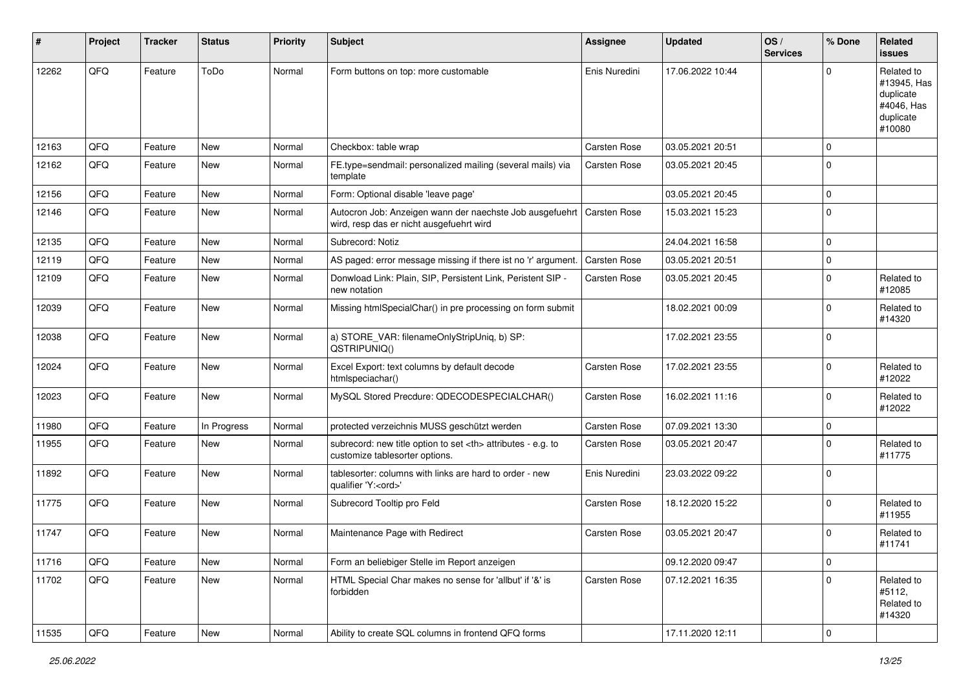| #     | Project | <b>Tracker</b> | <b>Status</b> | <b>Priority</b> | <b>Subject</b>                                                                                                      | <b>Assignee</b>                                        | <b>Updated</b>   | OS/<br><b>Services</b> | % Done      | <b>Related</b><br><b>issues</b>                                             |                      |
|-------|---------|----------------|---------------|-----------------|---------------------------------------------------------------------------------------------------------------------|--------------------------------------------------------|------------------|------------------------|-------------|-----------------------------------------------------------------------------|----------------------|
| 12262 | QFQ     | Feature        | ToDo          | Normal          | Form buttons on top: more customable                                                                                | Enis Nuredini                                          | 17.06.2022 10:44 |                        | $\Omega$    | Related to<br>#13945, Has<br>duplicate<br>#4046, Has<br>duplicate<br>#10080 |                      |
| 12163 | QFQ     | Feature        | New           | Normal          | Checkbox: table wrap                                                                                                | Carsten Rose                                           | 03.05.2021 20:51 |                        | $\mathbf 0$ |                                                                             |                      |
| 12162 | QFQ     | Feature        | <b>New</b>    | Normal          | FE.type=sendmail: personalized mailing (several mails) via<br>template                                              | Carsten Rose                                           | 03.05.2021 20:45 |                        | $\mathbf 0$ |                                                                             |                      |
| 12156 | QFQ     | Feature        | <b>New</b>    | Normal          | Form: Optional disable 'leave page'                                                                                 |                                                        | 03.05.2021 20:45 |                        | $\mathbf 0$ |                                                                             |                      |
| 12146 | QFQ     | Feature        | New           | Normal          | Autocron Job: Anzeigen wann der naechste Job ausgefuehrt   Carsten Rose<br>wird, resp das er nicht ausgefuehrt wird |                                                        | 15.03.2021 15:23 |                        | $\mathbf 0$ |                                                                             |                      |
| 12135 | QFQ     | Feature        | <b>New</b>    | Normal          | Subrecord: Notiz                                                                                                    |                                                        | 24.04.2021 16:58 |                        | $\mathbf 0$ |                                                                             |                      |
| 12119 | QFQ     | Feature        | New           | Normal          | AS paged: error message missing if there ist no 'r' argument.                                                       | Carsten Rose                                           | 03.05.2021 20:51 |                        | $\mathbf 0$ |                                                                             |                      |
| 12109 | QFQ     | Feature        | <b>New</b>    | Normal          | Donwload Link: Plain, SIP, Persistent Link, Peristent SIP -<br>new notation                                         | Carsten Rose                                           | 03.05.2021 20:45 |                        | $\mathbf 0$ | Related to<br>#12085                                                        |                      |
| 12039 | QFQ     | Feature        | New           | Normal          | Missing htmlSpecialChar() in pre processing on form submit                                                          |                                                        | 18.02.2021 00:09 |                        | $\mathbf 0$ | Related to<br>#14320                                                        |                      |
| 12038 | QFQ     | Feature        | <b>New</b>    | Normal          | a) STORE_VAR: filenameOnlyStripUniq, b) SP:<br>QSTRIPUNIQ()                                                         |                                                        | 17.02.2021 23:55 |                        | $\Omega$    |                                                                             |                      |
| 12024 | QFQ     | Feature        | <b>New</b>    | Normal          | Excel Export: text columns by default decode<br>htmlspeciachar()                                                    | Carsten Rose                                           | 17.02.2021 23:55 |                        | $\mathbf 0$ | Related to<br>#12022                                                        |                      |
| 12023 | QFQ     | Feature        | <b>New</b>    | Normal          | MySQL Stored Precdure: QDECODESPECIALCHAR()                                                                         | Carsten Rose                                           | 16.02.2021 11:16 |                        | $\mathbf 0$ | Related to<br>#12022                                                        |                      |
| 11980 | QFQ     | Feature        | In Progress   | Normal          | protected verzeichnis MUSS geschützt werden                                                                         | Carsten Rose                                           | 07.09.2021 13:30 |                        | $\mathbf 0$ |                                                                             |                      |
| 11955 | QFQ     | Feature        | <b>New</b>    | Normal          | subrecord: new title option to set <th> attributes - e.g. to<br/>customize tablesorter options.</th>                | attributes - e.g. to<br>customize tablesorter options. | Carsten Rose     | 03.05.2021 20:47       |             | $\Omega$                                                                    | Related to<br>#11775 |
| 11892 | QFQ     | Feature        | New           | Normal          | tablesorter: columns with links are hard to order - new<br>qualifier 'Y: <ord>'</ord>                               | Enis Nuredini                                          | 23.03.2022 09:22 |                        | $\mathbf 0$ |                                                                             |                      |
| 11775 | QFQ     | Feature        | <b>New</b>    | Normal          | Subrecord Tooltip pro Feld                                                                                          | Carsten Rose                                           | 18.12.2020 15:22 |                        | $\Omega$    | Related to<br>#11955                                                        |                      |
| 11747 | QFQ     | Feature        | <b>New</b>    | Normal          | Maintenance Page with Redirect                                                                                      | Carsten Rose                                           | 03.05.2021 20:47 |                        | $\mathbf 0$ | Related to<br>#11741                                                        |                      |
| 11716 | QFQ     | Feature        | New           | Normal          | Form an beliebiger Stelle im Report anzeigen                                                                        |                                                        | 09.12.2020 09:47 |                        | $\mathbf 0$ |                                                                             |                      |
| 11702 | QFQ     | Feature        | New           | Normal          | HTML Special Char makes no sense for 'allbut' if '&' is<br>forbidden                                                | Carsten Rose                                           | 07.12.2021 16:35 |                        | $\mathbf 0$ | Related to<br>#5112,<br>Related to<br>#14320                                |                      |
| 11535 | QFQ     | Feature        | New           | Normal          | Ability to create SQL columns in frontend QFQ forms                                                                 |                                                        | 17.11.2020 12:11 |                        | $\mathbf 0$ |                                                                             |                      |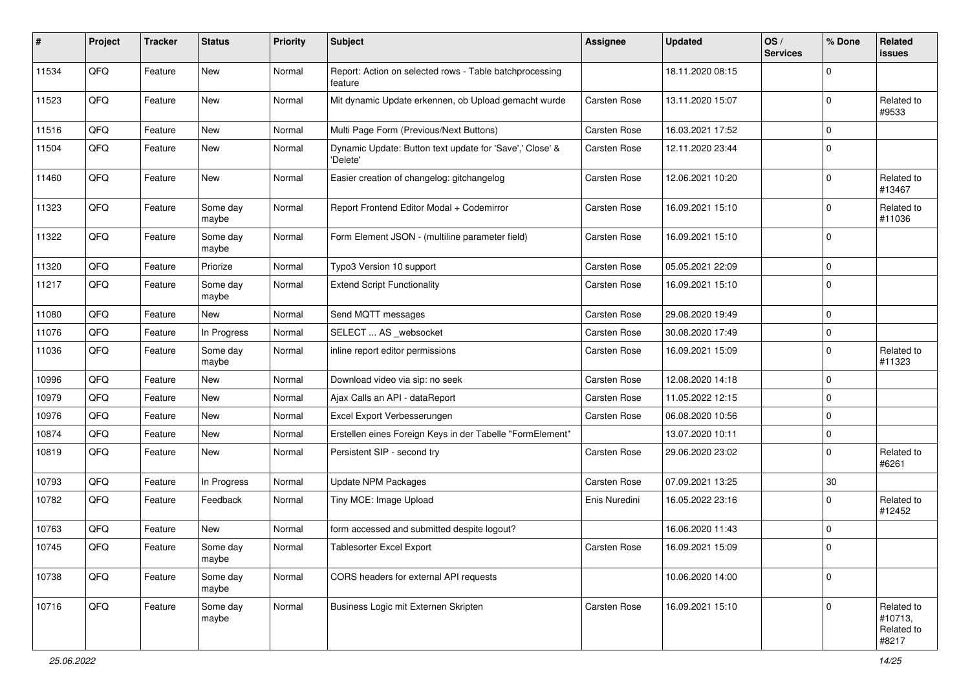| ∦     | Project | <b>Tracker</b> | <b>Status</b>     | <b>Priority</b> | <b>Subject</b>                                                       | <b>Assignee</b>     | <b>Updated</b>   | OS/<br><b>Services</b> | % Done              | Related<br><b>issues</b>                     |
|-------|---------|----------------|-------------------|-----------------|----------------------------------------------------------------------|---------------------|------------------|------------------------|---------------------|----------------------------------------------|
| 11534 | QFQ     | Feature        | New               | Normal          | Report: Action on selected rows - Table batchprocessing<br>feature   |                     | 18.11.2020 08:15 |                        | $\mathbf 0$         |                                              |
| 11523 | QFQ     | Feature        | New               | Normal          | Mit dynamic Update erkennen, ob Upload gemacht wurde                 | Carsten Rose        | 13.11.2020 15:07 |                        | $\mathbf 0$         | Related to<br>#9533                          |
| 11516 | QFQ     | Feature        | New               | Normal          | Multi Page Form (Previous/Next Buttons)                              | Carsten Rose        | 16.03.2021 17:52 |                        | $\mathbf 0$         |                                              |
| 11504 | QFQ     | Feature        | New               | Normal          | Dynamic Update: Button text update for 'Save',' Close' &<br>'Delete' | <b>Carsten Rose</b> | 12.11.2020 23:44 |                        | $\mathbf 0$         |                                              |
| 11460 | QFQ     | Feature        | New               | Normal          | Easier creation of changelog: gitchangelog                           | Carsten Rose        | 12.06.2021 10:20 |                        | $\mathbf 0$         | Related to<br>#13467                         |
| 11323 | QFQ     | Feature        | Some day<br>maybe | Normal          | Report Frontend Editor Modal + Codemirror                            | Carsten Rose        | 16.09.2021 15:10 |                        | $\mathbf 0$         | Related to<br>#11036                         |
| 11322 | QFQ     | Feature        | Some day<br>maybe | Normal          | Form Element JSON - (multiline parameter field)                      | <b>Carsten Rose</b> | 16.09.2021 15:10 |                        | $\mathbf 0$         |                                              |
| 11320 | QFQ     | Feature        | Priorize          | Normal          | Typo3 Version 10 support                                             | <b>Carsten Rose</b> | 05.05.2021 22:09 |                        | $\mathbf 0$         |                                              |
| 11217 | QFQ     | Feature        | Some day<br>maybe | Normal          | <b>Extend Script Functionality</b>                                   | Carsten Rose        | 16.09.2021 15:10 |                        | $\mathbf 0$         |                                              |
| 11080 | QFQ     | Feature        | New               | Normal          | Send MQTT messages                                                   | <b>Carsten Rose</b> | 29.08.2020 19:49 |                        | $\mathbf 0$         |                                              |
| 11076 | QFQ     | Feature        | In Progress       | Normal          | SELECT  AS _websocket                                                | <b>Carsten Rose</b> | 30.08.2020 17:49 |                        | $\mathbf 0$         |                                              |
| 11036 | QFQ     | Feature        | Some day<br>maybe | Normal          | inline report editor permissions                                     | Carsten Rose        | 16.09.2021 15:09 |                        | $\mathbf 0$         | Related to<br>#11323                         |
| 10996 | QFQ     | Feature        | New               | Normal          | Download video via sip: no seek                                      | <b>Carsten Rose</b> | 12.08.2020 14:18 |                        | $\mathbf 0$         |                                              |
| 10979 | QFQ     | Feature        | New               | Normal          | Ajax Calls an API - dataReport                                       | <b>Carsten Rose</b> | 11.05.2022 12:15 |                        | $\mathbf 0$         |                                              |
| 10976 | QFQ     | Feature        | New               | Normal          | Excel Export Verbesserungen                                          | <b>Carsten Rose</b> | 06.08.2020 10:56 |                        | $\mathbf 0$         |                                              |
| 10874 | QFQ     | Feature        | New               | Normal          | Erstellen eines Foreign Keys in der Tabelle "FormElement"            |                     | 13.07.2020 10:11 |                        | $\mathbf 0$         |                                              |
| 10819 | QFQ     | Feature        | New               | Normal          | Persistent SIP - second try                                          | Carsten Rose        | 29.06.2020 23:02 |                        | $\mathbf 0$         | Related to<br>#6261                          |
| 10793 | QFQ     | Feature        | In Progress       | Normal          | <b>Update NPM Packages</b>                                           | Carsten Rose        | 07.09.2021 13:25 |                        | $30\,$              |                                              |
| 10782 | QFQ     | Feature        | Feedback          | Normal          | Tiny MCE: Image Upload                                               | Enis Nuredini       | 16.05.2022 23:16 |                        | $\mathbf 0$         | Related to<br>#12452                         |
| 10763 | QFQ     | Feature        | New               | Normal          | form accessed and submitted despite logout?                          |                     | 16.06.2020 11:43 |                        | $\mathbf 0$         |                                              |
| 10745 | QFQ     | Feature        | Some day<br>maybe | Normal          | Tablesorter Excel Export                                             | Carsten Rose        | 16.09.2021 15:09 |                        | $\mathbf 0$         |                                              |
| 10738 | QFQ     | Feature        | Some day<br>maybe | Normal          | CORS headers for external API requests                               |                     | 10.06.2020 14:00 |                        | $\mathsf{O}\xspace$ |                                              |
| 10716 | QFQ     | Feature        | Some day<br>maybe | Normal          | Business Logic mit Externen Skripten                                 | Carsten Rose        | 16.09.2021 15:10 |                        | $\mathbf 0$         | Related to<br>#10713,<br>Related to<br>#8217 |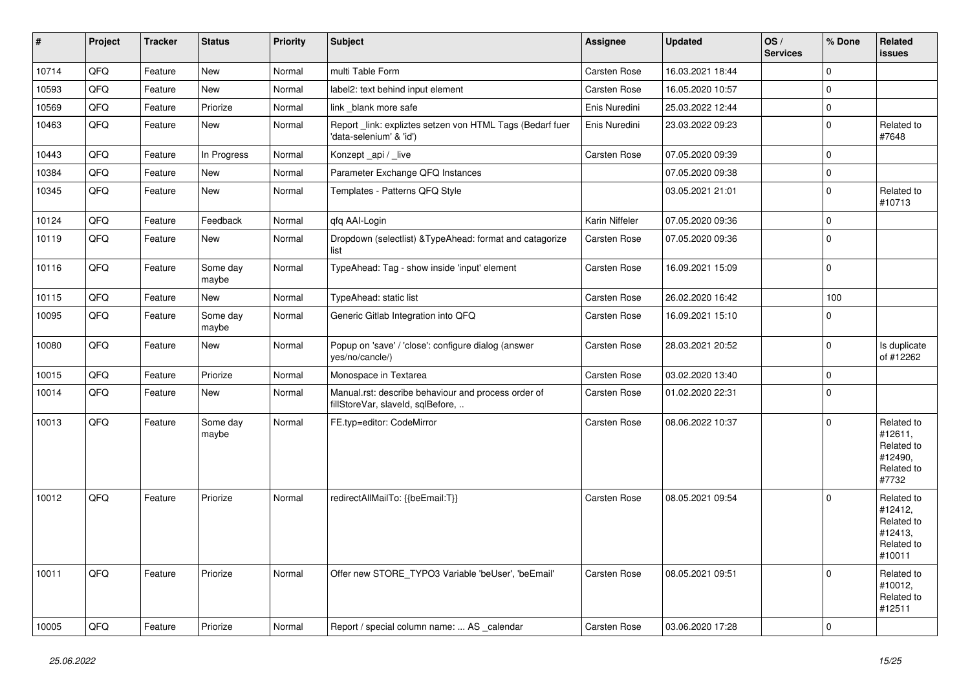| $\vert$ # | Project | <b>Tracker</b> | <b>Status</b>     | <b>Priority</b> | <b>Subject</b>                                                                           | Assignee       | <b>Updated</b>   | OS/<br><b>Services</b> | % Done      | Related<br><b>issues</b>                                               |
|-----------|---------|----------------|-------------------|-----------------|------------------------------------------------------------------------------------------|----------------|------------------|------------------------|-------------|------------------------------------------------------------------------|
| 10714     | QFQ     | Feature        | New               | Normal          | multi Table Form                                                                         | Carsten Rose   | 16.03.2021 18:44 |                        | $\mathbf 0$ |                                                                        |
| 10593     | QFQ     | Feature        | New               | Normal          | label2: text behind input element                                                        | Carsten Rose   | 16.05.2020 10:57 |                        | $\Omega$    |                                                                        |
| 10569     | QFQ     | Feature        | Priorize          | Normal          | link blank more safe                                                                     | Enis Nuredini  | 25.03.2022 12:44 |                        | $\pmb{0}$   |                                                                        |
| 10463     | QFQ     | Feature        | New               | Normal          | Report _link: expliztes setzen von HTML Tags (Bedarf fuer<br>'data-selenium' & 'id')     | Enis Nuredini  | 23.03.2022 09:23 |                        | $\Omega$    | Related to<br>#7648                                                    |
| 10443     | QFQ     | Feature        | In Progress       | Normal          | Konzept api / live                                                                       | Carsten Rose   | 07.05.2020 09:39 |                        | $\mathbf 0$ |                                                                        |
| 10384     | QFQ     | Feature        | <b>New</b>        | Normal          | Parameter Exchange QFQ Instances                                                         |                | 07.05.2020 09:38 |                        | $\mathbf 0$ |                                                                        |
| 10345     | QFQ     | Feature        | New               | Normal          | Templates - Patterns QFQ Style                                                           |                | 03.05.2021 21:01 |                        | $\mathbf 0$ | Related to<br>#10713                                                   |
| 10124     | QFQ     | Feature        | Feedback          | Normal          | qfq AAI-Login                                                                            | Karin Niffeler | 07.05.2020 09:36 |                        | $\mathbf 0$ |                                                                        |
| 10119     | QFQ     | Feature        | New               | Normal          | Dropdown (selectlist) & Type Ahead: format and catagorize<br>list                        | Carsten Rose   | 07.05.2020 09:36 |                        | $\mathbf 0$ |                                                                        |
| 10116     | QFQ     | Feature        | Some day<br>maybe | Normal          | TypeAhead: Tag - show inside 'input' element                                             | Carsten Rose   | 16.09.2021 15:09 |                        | $\mathbf 0$ |                                                                        |
| 10115     | QFQ     | Feature        | New               | Normal          | TypeAhead: static list                                                                   | Carsten Rose   | 26.02.2020 16:42 |                        | 100         |                                                                        |
| 10095     | QFQ     | Feature        | Some day<br>maybe | Normal          | Generic Gitlab Integration into QFQ                                                      | Carsten Rose   | 16.09.2021 15:10 |                        | $\mathbf 0$ |                                                                        |
| 10080     | QFQ     | Feature        | New               | Normal          | Popup on 'save' / 'close': configure dialog (answer<br>yes/no/cancle/)                   | Carsten Rose   | 28.03.2021 20:52 |                        | $\mathbf 0$ | Is duplicate<br>of #12262                                              |
| 10015     | QFQ     | Feature        | Priorize          | Normal          | Monospace in Textarea                                                                    | Carsten Rose   | 03.02.2020 13:40 |                        | $\pmb{0}$   |                                                                        |
| 10014     | QFQ     | Feature        | New               | Normal          | Manual.rst: describe behaviour and process order of<br>fillStoreVar, slaveId, sqlBefore, | Carsten Rose   | 01.02.2020 22:31 |                        | $\pmb{0}$   |                                                                        |
| 10013     | QFQ     | Feature        | Some day<br>maybe | Normal          | FE.typ=editor: CodeMirror                                                                | Carsten Rose   | 08.06.2022 10:37 |                        | $\Omega$    | Related to<br>#12611,<br>Related to<br>#12490,<br>Related to<br>#7732  |
| 10012     | QFQ     | Feature        | Priorize          | Normal          | redirectAllMailTo: {{beEmail:T}}                                                         | Carsten Rose   | 08.05.2021 09:54 |                        | $\mathbf 0$ | Related to<br>#12412,<br>Related to<br>#12413,<br>Related to<br>#10011 |
| 10011     | QFQ     | Feature        | Priorize          | Normal          | Offer new STORE_TYPO3 Variable 'beUser', 'beEmail'                                       | Carsten Rose   | 08.05.2021 09:51 |                        | $\mathbf 0$ | Related to<br>#10012,<br>Related to<br>#12511                          |
| 10005     | QFQ     | Feature        | Priorize          | Normal          | Report / special column name:  AS calendar                                               | Carsten Rose   | 03.06.2020 17:28 |                        | $\mathbf 0$ |                                                                        |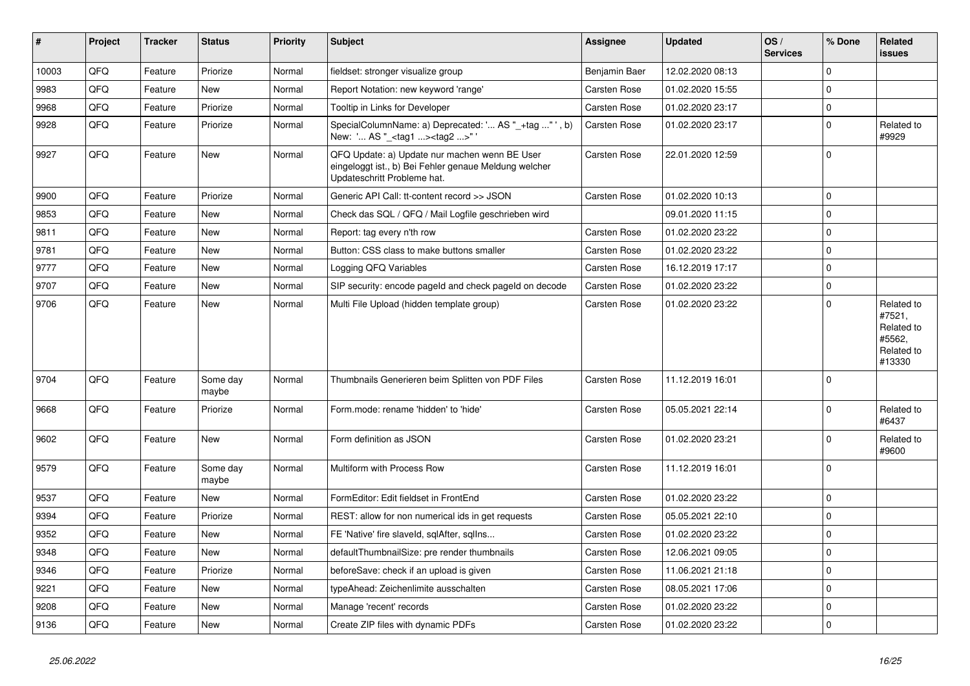| $\vert$ # | Project | <b>Tracker</b> | <b>Status</b>     | <b>Priority</b> | <b>Subject</b>                                                                                                                        | <b>Assignee</b>     | <b>Updated</b>   | OS/<br><b>Services</b> | % Done      | Related<br><b>issues</b>                                             |
|-----------|---------|----------------|-------------------|-----------------|---------------------------------------------------------------------------------------------------------------------------------------|---------------------|------------------|------------------------|-------------|----------------------------------------------------------------------|
| 10003     | QFQ     | Feature        | Priorize          | Normal          | fieldset: stronger visualize group                                                                                                    | Benjamin Baer       | 12.02.2020 08:13 |                        | $\Omega$    |                                                                      |
| 9983      | QFQ     | Feature        | <b>New</b>        | Normal          | Report Notation: new keyword 'range'                                                                                                  | Carsten Rose        | 01.02.2020 15:55 |                        | $\Omega$    |                                                                      |
| 9968      | QFQ     | Feature        | Priorize          | Normal          | Tooltip in Links for Developer                                                                                                        | <b>Carsten Rose</b> | 01.02.2020 23:17 |                        | $\mathbf 0$ |                                                                      |
| 9928      | QFQ     | Feature        | Priorize          | Normal          | SpecialColumnName: a) Deprecated: ' AS "_+tag "', b)<br>New: ' AS "_ <tag1><tag2>"'</tag2></tag1>                                     | Carsten Rose        | 01.02.2020 23:17 |                        | $\mathbf 0$ | Related to<br>#9929                                                  |
| 9927      | QFQ     | Feature        | <b>New</b>        | Normal          | QFQ Update: a) Update nur machen wenn BE User<br>eingeloggt ist., b) Bei Fehler genaue Meldung welcher<br>Updateschritt Probleme hat. | Carsten Rose        | 22.01.2020 12:59 |                        | $\mathbf 0$ |                                                                      |
| 9900      | QFQ     | Feature        | Priorize          | Normal          | Generic API Call: tt-content record >> JSON                                                                                           | <b>Carsten Rose</b> | 01.02.2020 10:13 |                        | $\mathbf 0$ |                                                                      |
| 9853      | QFQ     | Feature        | <b>New</b>        | Normal          | Check das SQL / QFQ / Mail Logfile geschrieben wird                                                                                   |                     | 09.01.2020 11:15 |                        | $\mathbf 0$ |                                                                      |
| 9811      | QFQ     | Feature        | <b>New</b>        | Normal          | Report: tag every n'th row                                                                                                            | Carsten Rose        | 01.02.2020 23:22 |                        | $\pmb{0}$   |                                                                      |
| 9781      | QFQ     | Feature        | New               | Normal          | Button: CSS class to make buttons smaller                                                                                             | Carsten Rose        | 01.02.2020 23:22 |                        | $\Omega$    |                                                                      |
| 9777      | QFQ     | Feature        | New               | Normal          | Logging QFQ Variables                                                                                                                 | Carsten Rose        | 16.12.2019 17:17 |                        | $\mathbf 0$ |                                                                      |
| 9707      | QFQ     | Feature        | <b>New</b>        | Normal          | SIP security: encode pageld and check pageld on decode                                                                                | Carsten Rose        | 01.02.2020 23:22 |                        | $\mathbf 0$ |                                                                      |
| 9706      | QFQ     | Feature        | New               | Normal          | Multi File Upload (hidden template group)                                                                                             | <b>Carsten Rose</b> | 01.02.2020 23:22 |                        | $\mathbf 0$ | Related to<br>#7521,<br>Related to<br>#5562,<br>Related to<br>#13330 |
| 9704      | QFQ     | Feature        | Some day<br>maybe | Normal          | Thumbnails Generieren beim Splitten von PDF Files                                                                                     | Carsten Rose        | 11.12.2019 16:01 |                        | $\mathbf 0$ |                                                                      |
| 9668      | QFQ     | Feature        | Priorize          | Normal          | Form.mode: rename 'hidden' to 'hide'                                                                                                  | <b>Carsten Rose</b> | 05.05.2021 22:14 |                        | $\mathbf 0$ | Related to<br>#6437                                                  |
| 9602      | QFQ     | Feature        | New               | Normal          | Form definition as JSON                                                                                                               | <b>Carsten Rose</b> | 01.02.2020 23:21 |                        | $\mathbf 0$ | Related to<br>#9600                                                  |
| 9579      | QFQ     | Feature        | Some day<br>maybe | Normal          | Multiform with Process Row                                                                                                            | Carsten Rose        | 11.12.2019 16:01 |                        | $\mathbf 0$ |                                                                      |
| 9537      | QFQ     | Feature        | New               | Normal          | FormEditor: Edit fieldset in FrontEnd                                                                                                 | Carsten Rose        | 01.02.2020 23:22 |                        | $\mathbf 0$ |                                                                      |
| 9394      | QFQ     | Feature        | Priorize          | Normal          | REST: allow for non numerical ids in get requests                                                                                     | Carsten Rose        | 05.05.2021 22:10 |                        | $\mathbf 0$ |                                                                      |
| 9352      | QFQ     | Feature        | New               | Normal          | FE 'Native' fire slaveld, sqlAfter, sqllns                                                                                            | Carsten Rose        | 01.02.2020 23:22 |                        | $\Omega$    |                                                                      |
| 9348      | QFQ     | Feature        | <b>New</b>        | Normal          | defaultThumbnailSize: pre render thumbnails                                                                                           | Carsten Rose        | 12.06.2021 09:05 |                        | $\mathbf 0$ |                                                                      |
| 9346      | QFQ     | Feature        | Priorize          | Normal          | beforeSave: check if an upload is given                                                                                               | <b>Carsten Rose</b> | 11.06.2021 21:18 |                        | $\mathbf 0$ |                                                                      |
| 9221      | QFQ     | Feature        | New               | Normal          | typeAhead: Zeichenlimite ausschalten                                                                                                  | <b>Carsten Rose</b> | 08.05.2021 17:06 |                        | $\mathbf 0$ |                                                                      |
| 9208      | QFQ     | Feature        | New               | Normal          | Manage 'recent' records                                                                                                               | Carsten Rose        | 01.02.2020 23:22 |                        | $\mathbf 0$ |                                                                      |
| 9136      | QFQ     | Feature        | New               | Normal          | Create ZIP files with dynamic PDFs                                                                                                    | <b>Carsten Rose</b> | 01.02.2020 23:22 |                        | $\mathbf 0$ |                                                                      |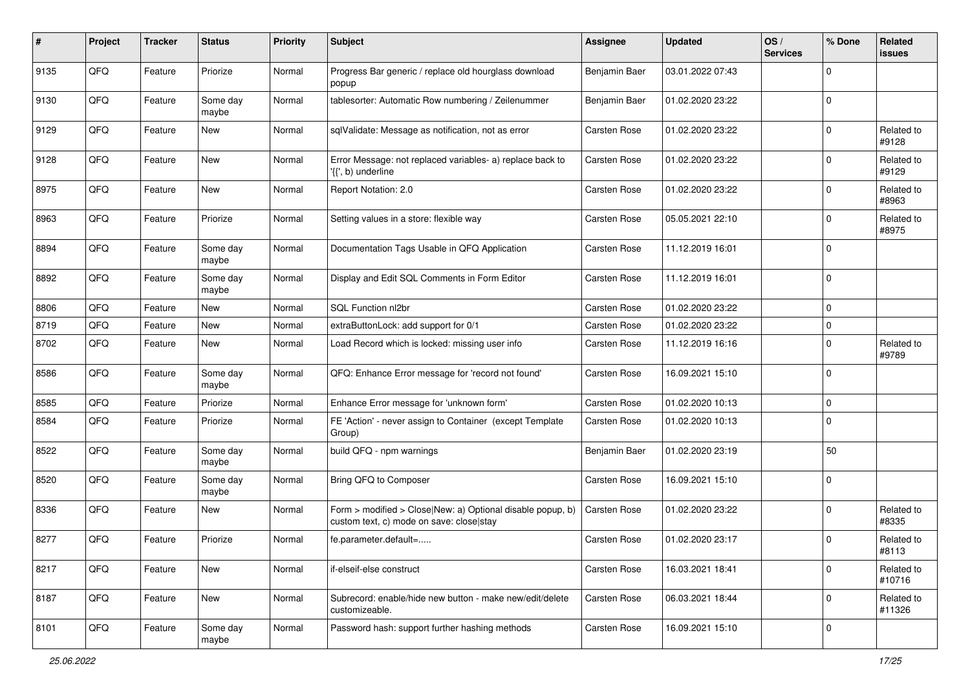| #    | Project | <b>Tracker</b> | <b>Status</b>     | <b>Priority</b> | <b>Subject</b>                                                                                         | <b>Assignee</b>     | <b>Updated</b>   | OS/<br><b>Services</b> | % Done      | Related<br><b>issues</b> |
|------|---------|----------------|-------------------|-----------------|--------------------------------------------------------------------------------------------------------|---------------------|------------------|------------------------|-------------|--------------------------|
| 9135 | QFQ     | Feature        | Priorize          | Normal          | Progress Bar generic / replace old hourglass download<br>popup                                         | Benjamin Baer       | 03.01.2022 07:43 |                        | $\mathbf 0$ |                          |
| 9130 | QFQ     | Feature        | Some day<br>maybe | Normal          | tablesorter: Automatic Row numbering / Zeilenummer                                                     | Benjamin Baer       | 01.02.2020 23:22 |                        | $\mathbf 0$ |                          |
| 9129 | QFQ     | Feature        | New               | Normal          | sqlValidate: Message as notification, not as error                                                     | Carsten Rose        | 01.02.2020 23:22 |                        | $\mathbf 0$ | Related to<br>#9128      |
| 9128 | QFQ     | Feature        | <b>New</b>        | Normal          | Error Message: not replaced variables- a) replace back to<br>'{{', b) underline                        | Carsten Rose        | 01.02.2020 23:22 |                        | $\mathbf 0$ | Related to<br>#9129      |
| 8975 | QFQ     | Feature        | New               | Normal          | Report Notation: 2.0                                                                                   | Carsten Rose        | 01.02.2020 23:22 |                        | $\mathbf 0$ | Related to<br>#8963      |
| 8963 | QFQ     | Feature        | Priorize          | Normal          | Setting values in a store: flexible way                                                                | Carsten Rose        | 05.05.2021 22:10 |                        | $\mathbf 0$ | Related to<br>#8975      |
| 8894 | QFQ     | Feature        | Some day<br>maybe | Normal          | Documentation Tags Usable in QFQ Application                                                           | Carsten Rose        | 11.12.2019 16:01 |                        | $\mathbf 0$ |                          |
| 8892 | QFQ     | Feature        | Some day<br>maybe | Normal          | Display and Edit SQL Comments in Form Editor                                                           | <b>Carsten Rose</b> | 11.12.2019 16:01 |                        | $\mathbf 0$ |                          |
| 8806 | QFQ     | Feature        | New               | Normal          | SQL Function nl2br                                                                                     | Carsten Rose        | 01.02.2020 23:22 |                        | $\mathbf 0$ |                          |
| 8719 | QFQ     | Feature        | <b>New</b>        | Normal          | extraButtonLock: add support for 0/1                                                                   | Carsten Rose        | 01.02.2020 23:22 |                        | $\mathbf 0$ |                          |
| 8702 | QFQ     | Feature        | New               | Normal          | Load Record which is locked: missing user info                                                         | Carsten Rose        | 11.12.2019 16:16 |                        | $\mathbf 0$ | Related to<br>#9789      |
| 8586 | QFQ     | Feature        | Some day<br>maybe | Normal          | QFQ: Enhance Error message for 'record not found'                                                      | Carsten Rose        | 16.09.2021 15:10 |                        | $\mathbf 0$ |                          |
| 8585 | QFQ     | Feature        | Priorize          | Normal          | Enhance Error message for 'unknown form'                                                               | Carsten Rose        | 01.02.2020 10:13 |                        | $\mathbf 0$ |                          |
| 8584 | QFQ     | Feature        | Priorize          | Normal          | FE 'Action' - never assign to Container (except Template<br>Group)                                     | <b>Carsten Rose</b> | 01.02.2020 10:13 |                        | $\mathbf 0$ |                          |
| 8522 | QFQ     | Feature        | Some day<br>maybe | Normal          | build QFQ - npm warnings                                                                               | Benjamin Baer       | 01.02.2020 23:19 |                        | 50          |                          |
| 8520 | QFQ     | Feature        | Some day<br>maybe | Normal          | Bring QFQ to Composer                                                                                  | Carsten Rose        | 16.09.2021 15:10 |                        | $\mathbf 0$ |                          |
| 8336 | QFQ     | Feature        | New               | Normal          | Form > modified > Close New: a) Optional disable popup, b)<br>custom text, c) mode on save: closelstay | Carsten Rose        | 01.02.2020 23:22 |                        | $\mathbf 0$ | Related to<br>#8335      |
| 8277 | QFQ     | Feature        | Priorize          | Normal          | fe.parameter.default=                                                                                  | Carsten Rose        | 01.02.2020 23:17 |                        | $\mathbf 0$ | Related to<br>#8113      |
| 8217 | QFQ     | Feature        | New               | Normal          | if-elseif-else construct                                                                               | Carsten Rose        | 16.03.2021 18:41 |                        | $\mathbf 0$ | Related to<br>#10716     |
| 8187 | QFQ     | Feature        | New               | Normal          | Subrecord: enable/hide new button - make new/edit/delete<br>customizeable.                             | Carsten Rose        | 06.03.2021 18:44 |                        | $\mathbf 0$ | Related to<br>#11326     |
| 8101 | QFQ     | Feature        | Some day<br>maybe | Normal          | Password hash: support further hashing methods                                                         | Carsten Rose        | 16.09.2021 15:10 |                        | 0           |                          |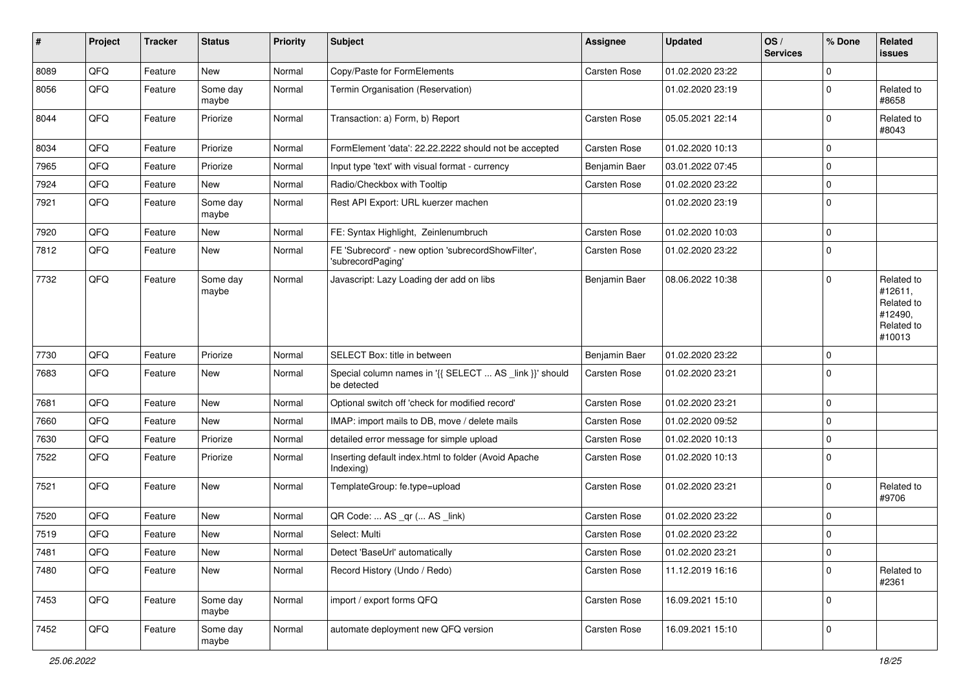| $\vert$ # | Project | <b>Tracker</b> | <b>Status</b>     | <b>Priority</b> | Subject                                                                 | <b>Assignee</b> | <b>Updated</b>   | OS/<br><b>Services</b> | % Done       | Related<br><b>issues</b>                                               |
|-----------|---------|----------------|-------------------|-----------------|-------------------------------------------------------------------------|-----------------|------------------|------------------------|--------------|------------------------------------------------------------------------|
| 8089      | QFQ     | Feature        | New               | Normal          | Copy/Paste for FormElements                                             | Carsten Rose    | 01.02.2020 23:22 |                        | $\mathbf{0}$ |                                                                        |
| 8056      | QFQ     | Feature        | Some day<br>maybe | Normal          | Termin Organisation (Reservation)                                       |                 | 01.02.2020 23:19 |                        | $\mathbf 0$  | Related to<br>#8658                                                    |
| 8044      | QFQ     | Feature        | Priorize          | Normal          | Transaction: a) Form, b) Report                                         | Carsten Rose    | 05.05.2021 22:14 |                        | $\mathbf 0$  | Related to<br>#8043                                                    |
| 8034      | QFQ     | Feature        | Priorize          | Normal          | FormElement 'data': 22.22.2222 should not be accepted                   | Carsten Rose    | 01.02.2020 10:13 |                        | $\mathbf 0$  |                                                                        |
| 7965      | QFQ     | Feature        | Priorize          | Normal          | Input type 'text' with visual format - currency                         | Benjamin Baer   | 03.01.2022 07:45 |                        | $\mathbf 0$  |                                                                        |
| 7924      | QFQ     | Feature        | New               | Normal          | Radio/Checkbox with Tooltip                                             | Carsten Rose    | 01.02.2020 23:22 |                        | $\mathbf 0$  |                                                                        |
| 7921      | QFQ     | Feature        | Some day<br>maybe | Normal          | Rest API Export: URL kuerzer machen                                     |                 | 01.02.2020 23:19 |                        | $\mathbf 0$  |                                                                        |
| 7920      | QFQ     | Feature        | New               | Normal          | FE: Syntax Highlight, Zeinlenumbruch                                    | Carsten Rose    | 01.02.2020 10:03 |                        | $\mathbf 0$  |                                                                        |
| 7812      | QFQ     | Feature        | New               | Normal          | FE 'Subrecord' - new option 'subrecordShowFilter',<br>'subrecordPaging' | Carsten Rose    | 01.02.2020 23:22 |                        | $\mathbf 0$  |                                                                        |
| 7732      | QFQ     | Feature        | Some day<br>maybe | Normal          | Javascript: Lazy Loading der add on libs                                | Benjamin Baer   | 08.06.2022 10:38 |                        | $\Omega$     | Related to<br>#12611,<br>Related to<br>#12490,<br>Related to<br>#10013 |
| 7730      | QFQ     | Feature        | Priorize          | Normal          | SELECT Box: title in between                                            | Benjamin Baer   | 01.02.2020 23:22 |                        | $\mathbf 0$  |                                                                        |
| 7683      | QFQ     | Feature        | New               | Normal          | Special column names in '{{ SELECT  AS _link }}' should<br>be detected  | Carsten Rose    | 01.02.2020 23:21 |                        | $\mathbf 0$  |                                                                        |
| 7681      | QFQ     | Feature        | New               | Normal          | Optional switch off 'check for modified record'                         | Carsten Rose    | 01.02.2020 23:21 |                        | $\mathbf 0$  |                                                                        |
| 7660      | QFQ     | Feature        | New               | Normal          | IMAP: import mails to DB, move / delete mails                           | Carsten Rose    | 01.02.2020 09:52 |                        | $\mathbf 0$  |                                                                        |
| 7630      | QFQ     | Feature        | Priorize          | Normal          | detailed error message for simple upload                                | Carsten Rose    | 01.02.2020 10:13 |                        | $\mathbf 0$  |                                                                        |
| 7522      | QFQ     | Feature        | Priorize          | Normal          | Inserting default index.html to folder (Avoid Apache<br>Indexing)       | Carsten Rose    | 01.02.2020 10:13 |                        | $\mathbf 0$  |                                                                        |
| 7521      | QFQ     | Feature        | New               | Normal          | TemplateGroup: fe.type=upload                                           | Carsten Rose    | 01.02.2020 23:21 |                        | $\mathbf 0$  | Related to<br>#9706                                                    |
| 7520      | QFQ     | Feature        | New               | Normal          | QR Code:  AS _qr ( AS _link)                                            | Carsten Rose    | 01.02.2020 23:22 |                        | $\mathbf 0$  |                                                                        |
| 7519      | QFQ     | Feature        | New               | Normal          | Select: Multi                                                           | Carsten Rose    | 01.02.2020 23:22 |                        | $\mathbf 0$  |                                                                        |
| 7481      | QFQ     | Feature        | New               | Normal          | Detect 'BaseUrl' automatically                                          | Carsten Rose    | 01.02.2020 23:21 |                        | 0            |                                                                        |
| 7480      | QFQ     | Feature        | New               | Normal          | Record History (Undo / Redo)                                            | Carsten Rose    | 11.12.2019 16:16 |                        | $\mathbf 0$  | Related to<br>#2361                                                    |
| 7453      | QFQ     | Feature        | Some day<br>maybe | Normal          | import / export forms QFQ                                               | Carsten Rose    | 16.09.2021 15:10 |                        | $\mathbf 0$  |                                                                        |
| 7452      | QFQ     | Feature        | Some day<br>maybe | Normal          | automate deployment new QFQ version                                     | Carsten Rose    | 16.09.2021 15:10 |                        | $\mathbf 0$  |                                                                        |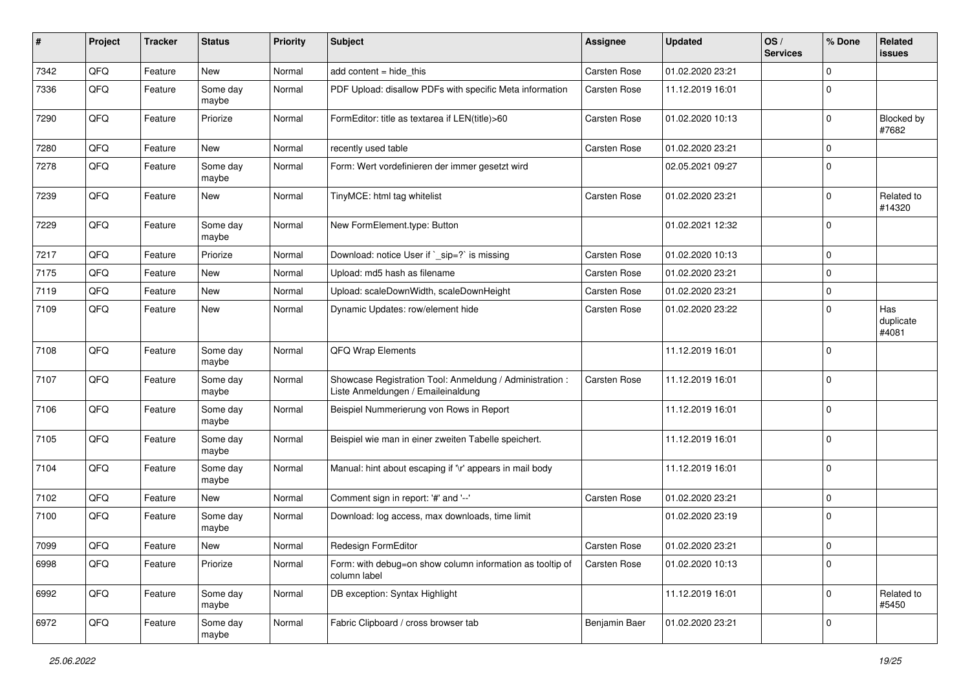| #    | Project | <b>Tracker</b> | <b>Status</b>     | <b>Priority</b> | <b>Subject</b>                                                                                 | Assignee            | <b>Updated</b>   | OS/<br><b>Services</b> | % Done      | Related<br><b>issues</b>  |
|------|---------|----------------|-------------------|-----------------|------------------------------------------------------------------------------------------------|---------------------|------------------|------------------------|-------------|---------------------------|
| 7342 | QFQ     | Feature        | New               | Normal          | add content $=$ hide this                                                                      | Carsten Rose        | 01.02.2020 23:21 |                        | $\mathbf 0$ |                           |
| 7336 | QFQ     | Feature        | Some day<br>maybe | Normal          | PDF Upload: disallow PDFs with specific Meta information                                       | <b>Carsten Rose</b> | 11.12.2019 16:01 |                        | $\mathbf 0$ |                           |
| 7290 | QFQ     | Feature        | Priorize          | Normal          | FormEditor: title as textarea if LEN(title)>60                                                 | Carsten Rose        | 01.02.2020 10:13 |                        | $\mathbf 0$ | Blocked by<br>#7682       |
| 7280 | QFQ     | Feature        | New               | Normal          | recently used table                                                                            | Carsten Rose        | 01.02.2020 23:21 |                        | $\mathbf 0$ |                           |
| 7278 | QFQ     | Feature        | Some day<br>maybe | Normal          | Form: Wert vordefinieren der immer gesetzt wird                                                |                     | 02.05.2021 09:27 |                        | $\mathbf 0$ |                           |
| 7239 | QFQ     | Feature        | New               | Normal          | TinyMCE: html tag whitelist                                                                    | Carsten Rose        | 01.02.2020 23:21 |                        | $\mathbf 0$ | Related to<br>#14320      |
| 7229 | QFQ     | Feature        | Some day<br>maybe | Normal          | New FormElement.type: Button                                                                   |                     | 01.02.2021 12:32 |                        | $\mathbf 0$ |                           |
| 7217 | QFQ     | Feature        | Priorize          | Normal          | Download: notice User if `_sip=?` is missing                                                   | Carsten Rose        | 01.02.2020 10:13 |                        | $\mathbf 0$ |                           |
| 7175 | QFQ     | Feature        | New               | Normal          | Upload: md5 hash as filename                                                                   | Carsten Rose        | 01.02.2020 23:21 |                        | $\mathbf 0$ |                           |
| 7119 | QFQ     | Feature        | New               | Normal          | Upload: scaleDownWidth, scaleDownHeight                                                        | Carsten Rose        | 01.02.2020 23:21 |                        | $\mathbf 0$ |                           |
| 7109 | QFQ     | Feature        | New               | Normal          | Dynamic Updates: row/element hide                                                              | Carsten Rose        | 01.02.2020 23:22 |                        | $\mathbf 0$ | Has<br>duplicate<br>#4081 |
| 7108 | QFQ     | Feature        | Some day<br>maybe | Normal          | QFQ Wrap Elements                                                                              |                     | 11.12.2019 16:01 |                        | $\mathbf 0$ |                           |
| 7107 | QFQ     | Feature        | Some day<br>maybe | Normal          | Showcase Registration Tool: Anmeldung / Administration :<br>Liste Anmeldungen / Emaileinaldung | <b>Carsten Rose</b> | 11.12.2019 16:01 |                        | $\mathbf 0$ |                           |
| 7106 | QFQ     | Feature        | Some day<br>maybe | Normal          | Beispiel Nummerierung von Rows in Report                                                       |                     | 11.12.2019 16:01 |                        | $\mathbf 0$ |                           |
| 7105 | QFQ     | Feature        | Some day<br>maybe | Normal          | Beispiel wie man in einer zweiten Tabelle speichert.                                           |                     | 11.12.2019 16:01 |                        | $\mathbf 0$ |                           |
| 7104 | QFQ     | Feature        | Some day<br>maybe | Normal          | Manual: hint about escaping if '\r' appears in mail body                                       |                     | 11.12.2019 16:01 |                        | $\mathbf 0$ |                           |
| 7102 | QFQ     | Feature        | New               | Normal          | Comment sign in report: '#' and '--'                                                           | <b>Carsten Rose</b> | 01.02.2020 23:21 |                        | $\mathbf 0$ |                           |
| 7100 | QFQ     | Feature        | Some day<br>maybe | Normal          | Download: log access, max downloads, time limit                                                |                     | 01.02.2020 23:19 |                        | $\mathbf 0$ |                           |
| 7099 | QFQ     | Feature        | New               | Normal          | Redesign FormEditor                                                                            | <b>Carsten Rose</b> | 01.02.2020 23:21 |                        | 0           |                           |
| 6998 | QFQ     | Feature        | Priorize          | Normal          | Form: with debug=on show column information as tooltip of<br>column label                      | Carsten Rose        | 01.02.2020 10:13 |                        | $\mathbf 0$ |                           |
| 6992 | QFQ     | Feature        | Some day<br>maybe | Normal          | DB exception: Syntax Highlight                                                                 |                     | 11.12.2019 16:01 |                        | $\mathbf 0$ | Related to<br>#5450       |
| 6972 | QFG     | Feature        | Some day<br>maybe | Normal          | Fabric Clipboard / cross browser tab                                                           | Benjamin Baer       | 01.02.2020 23:21 |                        | 0           |                           |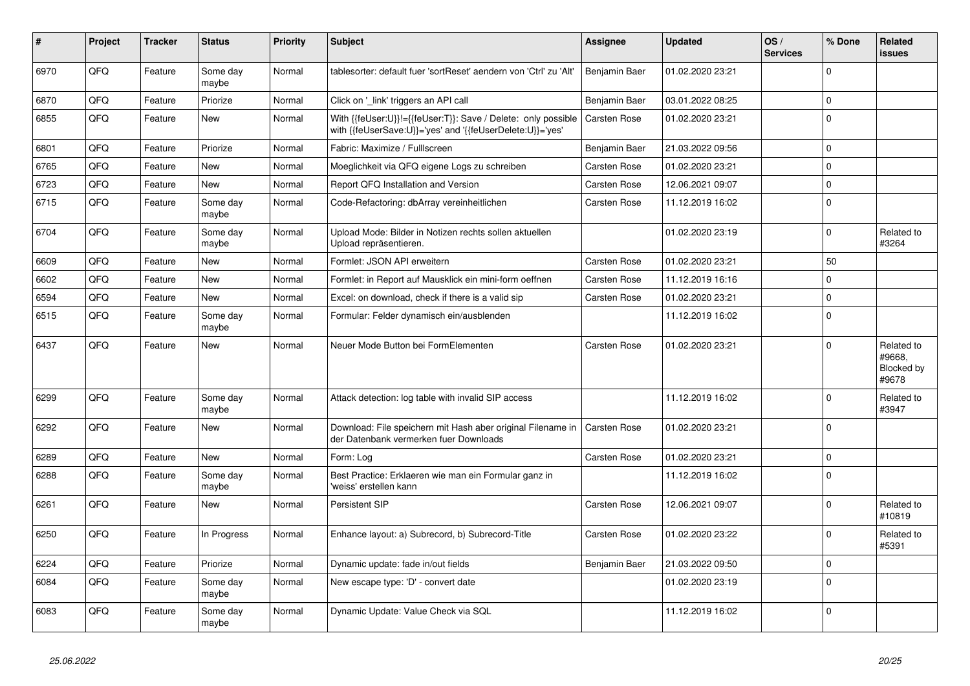| $\vert$ # | Project | <b>Tracker</b> | <b>Status</b>     | <b>Priority</b> | <b>Subject</b>                                                                                                             | Assignee            | <b>Updated</b>   | OS/<br><b>Services</b> | % Done      | Related<br><b>issues</b>                    |
|-----------|---------|----------------|-------------------|-----------------|----------------------------------------------------------------------------------------------------------------------------|---------------------|------------------|------------------------|-------------|---------------------------------------------|
| 6970      | QFQ     | Feature        | Some day<br>maybe | Normal          | tablesorter: default fuer 'sortReset' aendern von 'Ctrl' zu 'Alt'                                                          | Benjamin Baer       | 01.02.2020 23:21 |                        | $\Omega$    |                                             |
| 6870      | QFQ     | Feature        | Priorize          | Normal          | Click on '_link' triggers an API call                                                                                      | Benjamin Baer       | 03.01.2022 08:25 |                        | $\mathbf 0$ |                                             |
| 6855      | QFQ     | Feature        | <b>New</b>        | Normal          | With {{feUser:U}}!={{feUser:T}}: Save / Delete: only possible<br>with {{feUserSave:U}}='yes' and '{{feUserDelete:U}}='yes' | Carsten Rose        | 01.02.2020 23:21 |                        | l O         |                                             |
| 6801      | QFQ     | Feature        | Priorize          | Normal          | Fabric: Maximize / FullIscreen                                                                                             | Benjamin Baer       | 21.03.2022 09:56 |                        | $\Omega$    |                                             |
| 6765      | QFQ     | Feature        | New               | Normal          | Moeglichkeit via QFQ eigene Logs zu schreiben                                                                              | <b>Carsten Rose</b> | 01.02.2020 23:21 |                        | $\Omega$    |                                             |
| 6723      | QFQ     | Feature        | New               | Normal          | Report QFQ Installation and Version                                                                                        | Carsten Rose        | 12.06.2021 09:07 |                        | $\mathbf 0$ |                                             |
| 6715      | QFQ     | Feature        | Some day<br>maybe | Normal          | Code-Refactoring: dbArray vereinheitlichen                                                                                 | Carsten Rose        | 11.12.2019 16:02 |                        | l O         |                                             |
| 6704      | QFQ     | Feature        | Some day<br>maybe | Normal          | Upload Mode: Bilder in Notizen rechts sollen aktuellen<br>Upload repräsentieren.                                           |                     | 01.02.2020 23:19 |                        | $\Omega$    | Related to<br>#3264                         |
| 6609      | QFQ     | Feature        | <b>New</b>        | Normal          | Formlet: JSON API erweitern                                                                                                | <b>Carsten Rose</b> | 01.02.2020 23:21 |                        | 50          |                                             |
| 6602      | QFQ     | Feature        | <b>New</b>        | Normal          | Formlet: in Report auf Mausklick ein mini-form oeffnen                                                                     | <b>Carsten Rose</b> | 11.12.2019 16:16 |                        | $\Omega$    |                                             |
| 6594      | QFQ     | Feature        | New               | Normal          | Excel: on download, check if there is a valid sip                                                                          | <b>Carsten Rose</b> | 01.02.2020 23:21 |                        | $\mathbf 0$ |                                             |
| 6515      | QFQ     | Feature        | Some day<br>maybe | Normal          | Formular: Felder dynamisch ein/ausblenden                                                                                  |                     | 11.12.2019 16:02 |                        | l O         |                                             |
| 6437      | QFQ     | Feature        | <b>New</b>        | Normal          | Neuer Mode Button bei FormElementen                                                                                        | Carsten Rose        | 01.02.2020 23:21 |                        | $\Omega$    | Related to<br>#9668,<br>Blocked by<br>#9678 |
| 6299      | QFQ     | Feature        | Some day<br>maybe | Normal          | Attack detection: log table with invalid SIP access                                                                        |                     | 11.12.2019 16:02 |                        | $\Omega$    | Related to<br>#3947                         |
| 6292      | QFQ     | Feature        | <b>New</b>        | Normal          | Download: File speichern mit Hash aber original Filename in<br>der Datenbank vermerken fuer Downloads                      | <b>Carsten Rose</b> | 01.02.2020 23:21 |                        | l 0         |                                             |
| 6289      | QFQ     | Feature        | New               | Normal          | Form: Log                                                                                                                  | <b>Carsten Rose</b> | 01.02.2020 23:21 |                        | $\mathbf 0$ |                                             |
| 6288      | QFQ     | Feature        | Some day<br>maybe | Normal          | Best Practice: Erklaeren wie man ein Formular ganz in<br>'weiss' erstellen kann                                            |                     | 11.12.2019 16:02 |                        | l 0         |                                             |
| 6261      | QFQ     | Feature        | New               | Normal          | Persistent SIP                                                                                                             | Carsten Rose        | 12.06.2021 09:07 |                        | $\Omega$    | Related to<br>#10819                        |
| 6250      | QFQ     | Feature        | In Progress       | Normal          | Enhance layout: a) Subrecord, b) Subrecord-Title                                                                           | Carsten Rose        | 01.02.2020 23:22 |                        | $\Omega$    | Related to<br>#5391                         |
| 6224      | QFQ     | Feature        | Priorize          | Normal          | Dynamic update: fade in/out fields                                                                                         | Benjamin Baer       | 21.03.2022 09:50 |                        | l 0         |                                             |
| 6084      | QFQ     | Feature        | Some day<br>maybe | Normal          | New escape type: 'D' - convert date                                                                                        |                     | 01.02.2020 23:19 |                        | $\Omega$    |                                             |
| 6083      | QFQ     | Feature        | Some day<br>maybe | Normal          | Dynamic Update: Value Check via SQL                                                                                        |                     | 11.12.2019 16:02 |                        | l O         |                                             |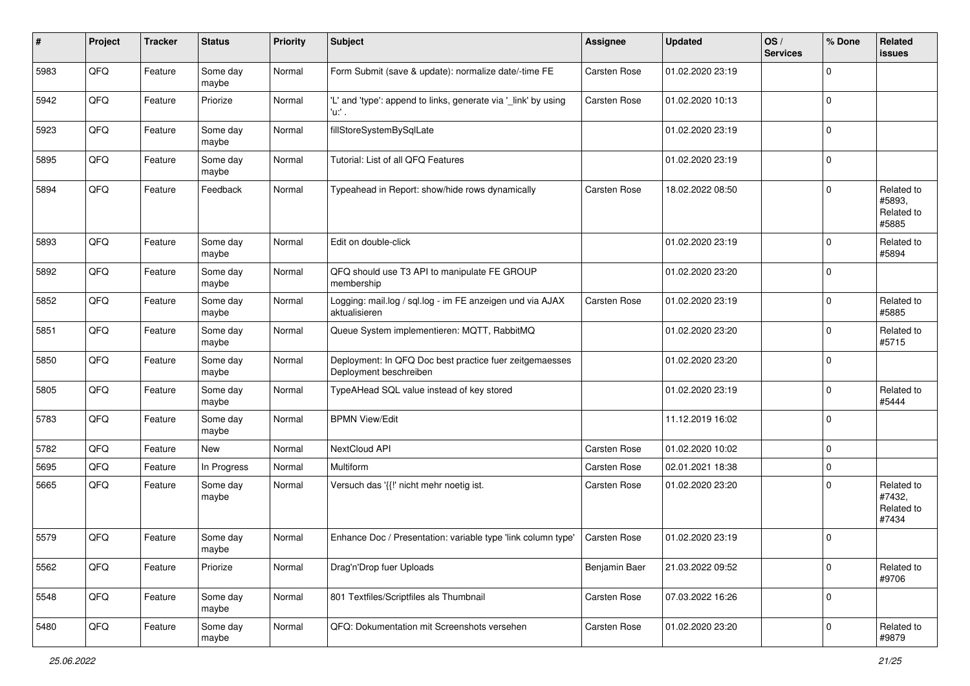| ∦    | Project | <b>Tracker</b> | <b>Status</b>     | <b>Priority</b> | <b>Subject</b>                                                                    | Assignee            | <b>Updated</b>   | OS/<br><b>Services</b> | % Done      | Related<br><b>issues</b>                    |
|------|---------|----------------|-------------------|-----------------|-----------------------------------------------------------------------------------|---------------------|------------------|------------------------|-------------|---------------------------------------------|
| 5983 | QFQ     | Feature        | Some day<br>maybe | Normal          | Form Submit (save & update): normalize date/-time FE                              | Carsten Rose        | 01.02.2020 23:19 |                        | $\mathbf 0$ |                                             |
| 5942 | QFQ     | Feature        | Priorize          | Normal          | 'L' and 'type': append to links, generate via '_link' by using<br>'u.' .          | <b>Carsten Rose</b> | 01.02.2020 10:13 |                        | $\mathbf 0$ |                                             |
| 5923 | QFQ     | Feature        | Some day<br>maybe | Normal          | fillStoreSystemBySqlLate                                                          |                     | 01.02.2020 23:19 |                        | $\mathbf 0$ |                                             |
| 5895 | QFQ     | Feature        | Some day<br>maybe | Normal          | Tutorial: List of all QFQ Features                                                |                     | 01.02.2020 23:19 |                        | $\mathbf 0$ |                                             |
| 5894 | QFQ     | Feature        | Feedback          | Normal          | Typeahead in Report: show/hide rows dynamically                                   | <b>Carsten Rose</b> | 18.02.2022 08:50 |                        | $\mathbf 0$ | Related to<br>#5893.<br>Related to<br>#5885 |
| 5893 | QFQ     | Feature        | Some day<br>maybe | Normal          | Edit on double-click                                                              |                     | 01.02.2020 23:19 |                        | $\mathbf 0$ | Related to<br>#5894                         |
| 5892 | QFQ     | Feature        | Some day<br>maybe | Normal          | QFQ should use T3 API to manipulate FE GROUP<br>membership                        |                     | 01.02.2020 23:20 |                        | $\mathbf 0$ |                                             |
| 5852 | QFQ     | Feature        | Some day<br>maybe | Normal          | Logging: mail.log / sql.log - im FE anzeigen und via AJAX<br>aktualisieren        | Carsten Rose        | 01.02.2020 23:19 |                        | $\mathbf 0$ | Related to<br>#5885                         |
| 5851 | QFQ     | Feature        | Some day<br>maybe | Normal          | Queue System implementieren: MQTT, RabbitMQ                                       |                     | 01.02.2020 23:20 |                        | $\Omega$    | Related to<br>#5715                         |
| 5850 | QFQ     | Feature        | Some day<br>maybe | Normal          | Deployment: In QFQ Doc best practice fuer zeitgemaesses<br>Deployment beschreiben |                     | 01.02.2020 23:20 |                        | $\mathbf 0$ |                                             |
| 5805 | QFQ     | Feature        | Some day<br>maybe | Normal          | TypeAHead SQL value instead of key stored                                         |                     | 01.02.2020 23:19 |                        | $\mathbf 0$ | Related to<br>#5444                         |
| 5783 | QFQ     | Feature        | Some day<br>maybe | Normal          | <b>BPMN View/Edit</b>                                                             |                     | 11.12.2019 16:02 |                        | $\mathbf 0$ |                                             |
| 5782 | QFQ     | Feature        | New               | Normal          | NextCloud API                                                                     | <b>Carsten Rose</b> | 01.02.2020 10:02 |                        | $\mathbf 0$ |                                             |
| 5695 | QFQ     | Feature        | In Progress       | Normal          | Multiform                                                                         | <b>Carsten Rose</b> | 02.01.2021 18:38 |                        | $\mathbf 0$ |                                             |
| 5665 | QFQ     | Feature        | Some day<br>maybe | Normal          | Versuch das '{{!' nicht mehr noetig ist.                                          | <b>Carsten Rose</b> | 01.02.2020 23:20 |                        | $\mathbf 0$ | Related to<br>#7432,<br>Related to<br>#7434 |
| 5579 | QFQ     | Feature        | Some day<br>maybe | Normal          | Enhance Doc / Presentation: variable type 'link column type'                      | <b>Carsten Rose</b> | 01.02.2020 23:19 |                        | $\mathbf 0$ |                                             |
| 5562 | QFQ     | Feature        | Priorize          | Normal          | Drag'n'Drop fuer Uploads                                                          | Benjamin Baer       | 21.03.2022 09:52 |                        | $\mathbf 0$ | Related to<br>#9706                         |
| 5548 | QFQ     | Feature        | Some day<br>maybe | Normal          | 801 Textfiles/Scriptfiles als Thumbnail                                           | Carsten Rose        | 07.03.2022 16:26 |                        | $\mathbf 0$ |                                             |
| 5480 | QFQ     | Feature        | Some day<br>maybe | Normal          | QFQ: Dokumentation mit Screenshots versehen                                       | Carsten Rose        | 01.02.2020 23:20 |                        | $\mathbf 0$ | Related to<br>#9879                         |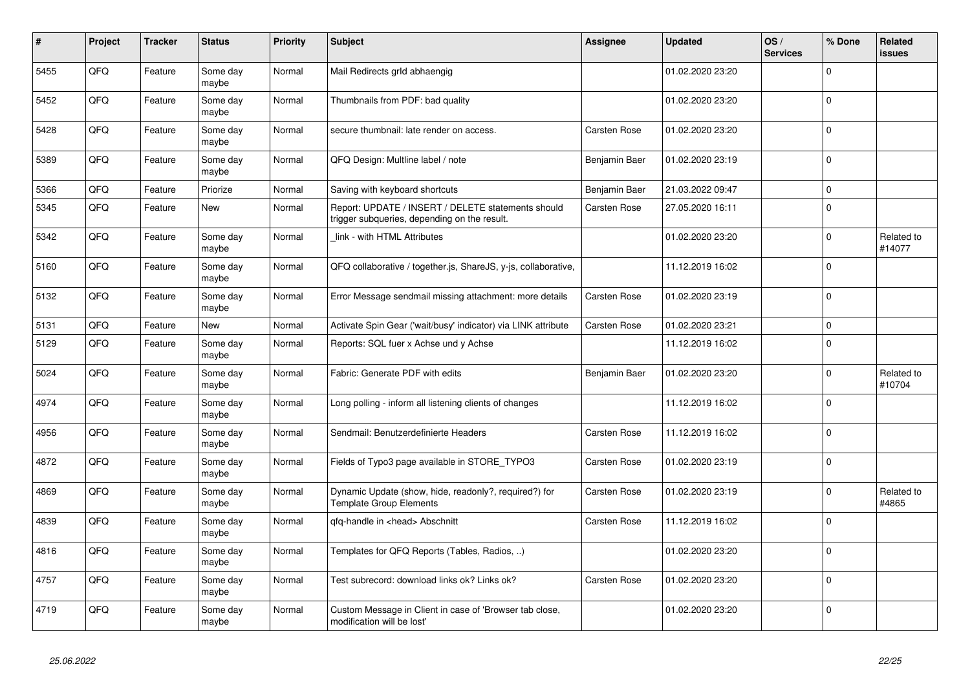| #    | Project    | <b>Tracker</b> | <b>Status</b>     | <b>Priority</b> | <b>Subject</b>                                                                                     | <b>Assignee</b>     | <b>Updated</b>   | OS/<br><b>Services</b> | % Done       | Related<br><b>issues</b> |
|------|------------|----------------|-------------------|-----------------|----------------------------------------------------------------------------------------------------|---------------------|------------------|------------------------|--------------|--------------------------|
| 5455 | QFQ        | Feature        | Some day<br>maybe | Normal          | Mail Redirects grld abhaengig                                                                      |                     | 01.02.2020 23:20 |                        | $\mathbf{0}$ |                          |
| 5452 | QFQ        | Feature        | Some day<br>maybe | Normal          | Thumbnails from PDF: bad quality                                                                   |                     | 01.02.2020 23:20 |                        | $\Omega$     |                          |
| 5428 | QFQ        | Feature        | Some day<br>maybe | Normal          | secure thumbnail: late render on access.                                                           | Carsten Rose        | 01.02.2020 23:20 |                        | $\Omega$     |                          |
| 5389 | QFQ        | Feature        | Some day<br>maybe | Normal          | QFQ Design: Multline label / note                                                                  | Benjamin Baer       | 01.02.2020 23:19 |                        | $\Omega$     |                          |
| 5366 | QFQ        | Feature        | Priorize          | Normal          | Saving with keyboard shortcuts                                                                     | Benjamin Baer       | 21.03.2022 09:47 |                        | $\Omega$     |                          |
| 5345 | QFQ        | Feature        | <b>New</b>        | Normal          | Report: UPDATE / INSERT / DELETE statements should<br>trigger subqueries, depending on the result. | <b>Carsten Rose</b> | 27.05.2020 16:11 |                        | I٥           |                          |
| 5342 | <b>OFO</b> | Feature        | Some day<br>maybe | Normal          | link - with HTML Attributes                                                                        |                     | 01.02.2020 23:20 |                        | $\Omega$     | Related to<br>#14077     |
| 5160 | QFQ        | Feature        | Some day<br>maybe | Normal          | QFQ collaborative / together.js, ShareJS, y-js, collaborative,                                     |                     | 11.12.2019 16:02 |                        | $\Omega$     |                          |
| 5132 | QFQ        | Feature        | Some day<br>maybe | Normal          | Error Message sendmail missing attachment: more details                                            | <b>Carsten Rose</b> | 01.02.2020 23:19 |                        | $\Omega$     |                          |
| 5131 | QFQ        | Feature        | <b>New</b>        | Normal          | Activate Spin Gear ('wait/busy' indicator) via LINK attribute                                      | Carsten Rose        | 01.02.2020 23:21 |                        | $\Omega$     |                          |
| 5129 | QFQ        | Feature        | Some day<br>maybe | Normal          | Reports: SQL fuer x Achse und y Achse                                                              |                     | 11.12.2019 16:02 |                        | I٥           |                          |
| 5024 | QFQ        | Feature        | Some day<br>maybe | Normal          | Fabric: Generate PDF with edits                                                                    | Benjamin Baer       | 01.02.2020 23:20 |                        | $\Omega$     | Related to<br>#10704     |
| 4974 | QFQ        | Feature        | Some day<br>maybe | Normal          | Long polling - inform all listening clients of changes                                             |                     | 11.12.2019 16:02 |                        | l 0          |                          |
| 4956 | QFQ        | Feature        | Some day<br>maybe | Normal          | Sendmail: Benutzerdefinierte Headers                                                               | <b>Carsten Rose</b> | 11.12.2019 16:02 |                        | $\mathbf{0}$ |                          |
| 4872 | QFQ        | Feature        | Some day<br>maybe | Normal          | Fields of Typo3 page available in STORE_TYPO3                                                      | Carsten Rose        | 01.02.2020 23:19 |                        | I٥           |                          |
| 4869 | QFQ        | Feature        | Some day<br>maybe | Normal          | Dynamic Update (show, hide, readonly?, required?) for<br><b>Template Group Elements</b>            | Carsten Rose        | 01.02.2020 23:19 |                        | $\mathbf 0$  | Related to<br>#4865      |
| 4839 | QFQ        | Feature        | Some day<br>maybe | Normal          | qfq-handle in <head> Abschnitt</head>                                                              | Carsten Rose        | 11.12.2019 16:02 |                        | $\Omega$     |                          |
| 4816 | QFQ        | Feature        | Some day<br>maybe | Normal          | Templates for QFQ Reports (Tables, Radios, )                                                       |                     | 01.02.2020 23:20 |                        | $\Omega$     |                          |
| 4757 | QFQ        | Feature        | Some day<br>maybe | Normal          | Test subrecord: download links ok? Links ok?                                                       | <b>Carsten Rose</b> | 01.02.2020 23:20 |                        | $\mathbf 0$  |                          |
| 4719 | QFQ        | Feature        | Some day<br>maybe | Normal          | Custom Message in Client in case of 'Browser tab close,<br>modification will be lost'              |                     | 01.02.2020 23:20 |                        | $\Omega$     |                          |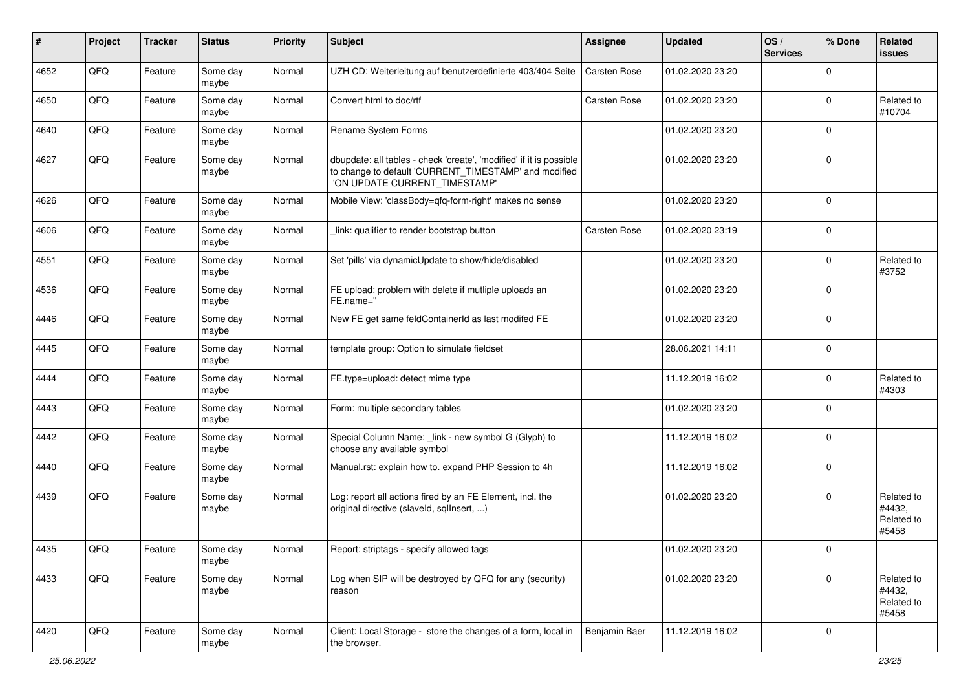| #    | Project | <b>Tracker</b> | <b>Status</b>     | <b>Priority</b> | <b>Subject</b>                                                                                                                                                | Assignee            | <b>Updated</b>   | OS/<br><b>Services</b> | % Done      | Related<br><b>issues</b>                    |
|------|---------|----------------|-------------------|-----------------|---------------------------------------------------------------------------------------------------------------------------------------------------------------|---------------------|------------------|------------------------|-------------|---------------------------------------------|
| 4652 | QFQ     | Feature        | Some day<br>maybe | Normal          | UZH CD: Weiterleitung auf benutzerdefinierte 403/404 Seite                                                                                                    | <b>Carsten Rose</b> | 01.02.2020 23:20 |                        | $\Omega$    |                                             |
| 4650 | QFQ     | Feature        | Some day<br>maybe | Normal          | Convert html to doc/rtf                                                                                                                                       | <b>Carsten Rose</b> | 01.02.2020 23:20 |                        | $\mathbf 0$ | Related to<br>#10704                        |
| 4640 | QFQ     | Feature        | Some day<br>maybe | Normal          | Rename System Forms                                                                                                                                           |                     | 01.02.2020 23:20 |                        | $\mathbf 0$ |                                             |
| 4627 | QFQ     | Feature        | Some day<br>maybe | Normal          | dbupdate: all tables - check 'create', 'modified' if it is possible<br>to change to default 'CURRENT_TIMESTAMP' and modified<br>'ON UPDATE CURRENT_TIMESTAMP' |                     | 01.02.2020 23:20 |                        | $\mathbf 0$ |                                             |
| 4626 | QFQ     | Feature        | Some day<br>maybe | Normal          | Mobile View: 'classBody=qfq-form-right' makes no sense                                                                                                        |                     | 01.02.2020 23:20 |                        | $\mathbf 0$ |                                             |
| 4606 | QFQ     | Feature        | Some day<br>maybe | Normal          | link: qualifier to render bootstrap button                                                                                                                    | Carsten Rose        | 01.02.2020 23:19 |                        | $\mathbf 0$ |                                             |
| 4551 | QFQ     | Feature        | Some day<br>maybe | Normal          | Set 'pills' via dynamicUpdate to show/hide/disabled                                                                                                           |                     | 01.02.2020 23:20 |                        | $\mathbf 0$ | Related to<br>#3752                         |
| 4536 | QFQ     | Feature        | Some day<br>maybe | Normal          | FE upload: problem with delete if mutliple uploads an<br>FE.name="                                                                                            |                     | 01.02.2020 23:20 |                        | $\mathbf 0$ |                                             |
| 4446 | QFQ     | Feature        | Some day<br>maybe | Normal          | New FE get same feldContainerId as last modifed FE                                                                                                            |                     | 01.02.2020 23:20 |                        | $\mathbf 0$ |                                             |
| 4445 | QFQ     | Feature        | Some day<br>maybe | Normal          | template group: Option to simulate fieldset                                                                                                                   |                     | 28.06.2021 14:11 |                        | $\mathbf 0$ |                                             |
| 4444 | QFQ     | Feature        | Some day<br>maybe | Normal          | FE.type=upload: detect mime type                                                                                                                              |                     | 11.12.2019 16:02 |                        | $\mathbf 0$ | Related to<br>#4303                         |
| 4443 | QFQ     | Feature        | Some day<br>maybe | Normal          | Form: multiple secondary tables                                                                                                                               |                     | 01.02.2020 23:20 |                        | $\mathbf 0$ |                                             |
| 4442 | QFQ     | Feature        | Some day<br>maybe | Normal          | Special Column Name: _link - new symbol G (Glyph) to<br>choose any available symbol                                                                           |                     | 11.12.2019 16:02 |                        | $\mathbf 0$ |                                             |
| 4440 | QFQ     | Feature        | Some day<br>maybe | Normal          | Manual.rst: explain how to. expand PHP Session to 4h                                                                                                          |                     | 11.12.2019 16:02 |                        | $\mathbf 0$ |                                             |
| 4439 | QFQ     | Feature        | Some day<br>maybe | Normal          | Log: report all actions fired by an FE Element, incl. the<br>original directive (slaveld, sqllnsert, )                                                        |                     | 01.02.2020 23:20 |                        | $\mathbf 0$ | Related to<br>#4432,<br>Related to<br>#5458 |
| 4435 | QFQ     | Feature        | Some day<br>maybe | Normal          | Report: striptags - specify allowed tags                                                                                                                      |                     | 01.02.2020 23:20 |                        | $\mathbf 0$ |                                             |
| 4433 | QFQ     | Feature        | Some day<br>maybe | Normal          | Log when SIP will be destroyed by QFQ for any (security)<br>reason                                                                                            |                     | 01.02.2020 23:20 |                        | $\mathbf 0$ | Related to<br>#4432,<br>Related to<br>#5458 |
| 4420 | QFQ     | Feature        | Some day<br>maybe | Normal          | Client: Local Storage - store the changes of a form, local in<br>the browser.                                                                                 | Benjamin Baer       | 11.12.2019 16:02 |                        | 0           |                                             |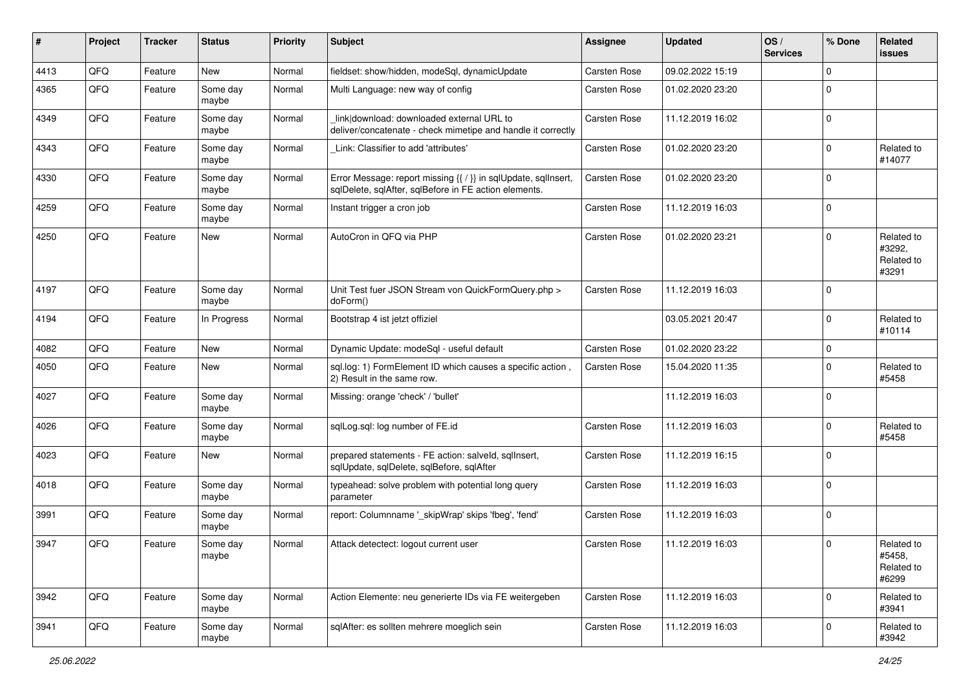| $\sharp$ | Project | <b>Tracker</b> | <b>Status</b>     | <b>Priority</b> | <b>Subject</b>                                                                                                          | <b>Assignee</b>     | <b>Updated</b>   | OS/<br><b>Services</b> | % Done       | Related<br><b>issues</b>                    |
|----------|---------|----------------|-------------------|-----------------|-------------------------------------------------------------------------------------------------------------------------|---------------------|------------------|------------------------|--------------|---------------------------------------------|
| 4413     | QFQ     | Feature        | <b>New</b>        | Normal          | fieldset: show/hidden, modeSql, dynamicUpdate                                                                           | Carsten Rose        | 09.02.2022 15:19 |                        | $\mathbf{0}$ |                                             |
| 4365     | QFQ     | Feature        | Some day<br>maybe | Normal          | Multi Language: new way of config                                                                                       | Carsten Rose        | 01.02.2020 23:20 |                        | $\mathbf 0$  |                                             |
| 4349     | QFQ     | Feature        | Some day<br>maybe | Normal          | linkldownload: downloaded external URL to<br>deliver/concatenate - check mimetipe and handle it correctly               | Carsten Rose        | 11.12.2019 16:02 |                        | $\mathbf 0$  |                                             |
| 4343     | QFQ     | Feature        | Some day<br>maybe | Normal          | Link: Classifier to add 'attributes'                                                                                    | Carsten Rose        | 01.02.2020 23:20 |                        | $\mathbf 0$  | Related to<br>#14077                        |
| 4330     | QFQ     | Feature        | Some day<br>maybe | Normal          | Error Message: report missing {{ / }} in sqlUpdate, sqlInsert,<br>sqlDelete, sqlAfter, sqlBefore in FE action elements. | Carsten Rose        | 01.02.2020 23:20 |                        | $\mathbf 0$  |                                             |
| 4259     | QFQ     | Feature        | Some day<br>maybe | Normal          | Instant trigger a cron job                                                                                              | Carsten Rose        | 11.12.2019 16:03 |                        | $\mathbf 0$  |                                             |
| 4250     | QFQ     | Feature        | <b>New</b>        | Normal          | AutoCron in QFQ via PHP                                                                                                 | Carsten Rose        | 01.02.2020 23:21 |                        | $\mathbf 0$  | Related to<br>#3292,<br>Related to<br>#3291 |
| 4197     | QFQ     | Feature        | Some day<br>maybe | Normal          | Unit Test fuer JSON Stream von QuickFormQuery.php ><br>doForm()                                                         | Carsten Rose        | 11.12.2019 16:03 |                        | $\mathbf 0$  |                                             |
| 4194     | QFQ     | Feature        | In Progress       | Normal          | Bootstrap 4 ist jetzt offiziel                                                                                          |                     | 03.05.2021 20:47 |                        | $\mathbf 0$  | Related to<br>#10114                        |
| 4082     | QFQ     | Feature        | <b>New</b>        | Normal          | Dynamic Update: modeSql - useful default                                                                                | Carsten Rose        | 01.02.2020 23:22 |                        | $\mathbf 0$  |                                             |
| 4050     | QFQ     | Feature        | New               | Normal          | sql.log: 1) FormElement ID which causes a specific action,<br>2) Result in the same row.                                | Carsten Rose        | 15.04.2020 11:35 |                        | $\mathbf 0$  | Related to<br>#5458                         |
| 4027     | QFQ     | Feature        | Some day<br>maybe | Normal          | Missing: orange 'check' / 'bullet'                                                                                      |                     | 11.12.2019 16:03 |                        | $\mathbf 0$  |                                             |
| 4026     | QFQ     | Feature        | Some day<br>maybe | Normal          | sqlLog.sql: log number of FE.id                                                                                         | Carsten Rose        | 11.12.2019 16:03 |                        | $\mathbf 0$  | Related to<br>#5458                         |
| 4023     | QFQ     | Feature        | New               | Normal          | prepared statements - FE action: salveld, sqllnsert,<br>sqlUpdate, sqlDelete, sqlBefore, sqlAfter                       | Carsten Rose        | 11.12.2019 16:15 |                        | $\mathbf 0$  |                                             |
| 4018     | QFQ     | Feature        | Some day<br>maybe | Normal          | typeahead: solve problem with potential long query<br>parameter                                                         | Carsten Rose        | 11.12.2019 16:03 |                        | $\mathbf 0$  |                                             |
| 3991     | QFQ     | Feature        | Some day<br>maybe | Normal          | report: Columnname '_skipWrap' skips 'fbeg', 'fend'                                                                     | Carsten Rose        | 11.12.2019 16:03 |                        | $\mathbf 0$  |                                             |
| 3947     | QFQ     | Feature        | Some day<br>maybe | Normal          | Attack detectect: logout current user                                                                                   | <b>Carsten Rose</b> | 11.12.2019 16:03 |                        | $\mathbf 0$  | Related to<br>#5458,<br>Related to<br>#6299 |
| 3942     | QFQ     | Feature        | Some day<br>maybe | Normal          | Action Elemente: neu generierte IDs via FE weitergeben                                                                  | Carsten Rose        | 11.12.2019 16:03 |                        | $\mathbf 0$  | Related to<br>#3941                         |
| 3941     | QFG     | Feature        | Some day<br>maybe | Normal          | sqlAfter: es sollten mehrere moeglich sein                                                                              | Carsten Rose        | 11.12.2019 16:03 |                        | $\mathbf 0$  | Related to<br>#3942                         |